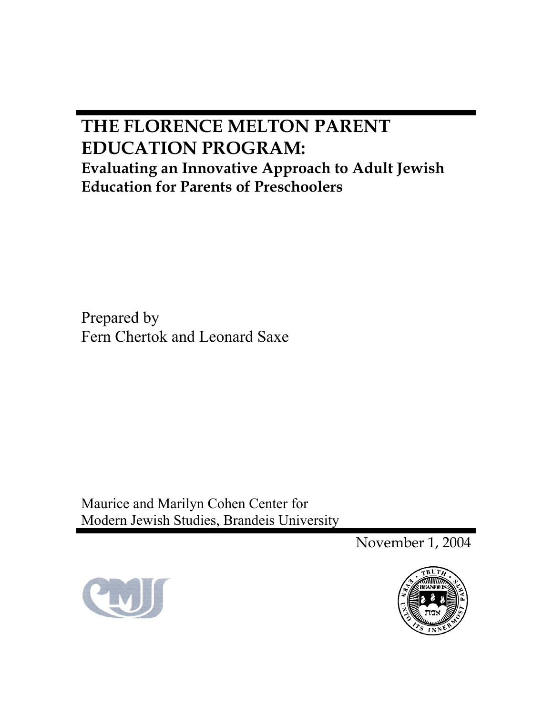# **THE FLORENCE MELTON PARENT EDUCATION PROGRAM: Evaluating an Innovative Approach to Adult Jewish Education for Parents of Preschoolers**

Prepared by Fern Chertok and Leonard Saxe

Maurice and Marilyn Cohen Center for Modern Jewish Studies, Brandeis University

November 1, 2004



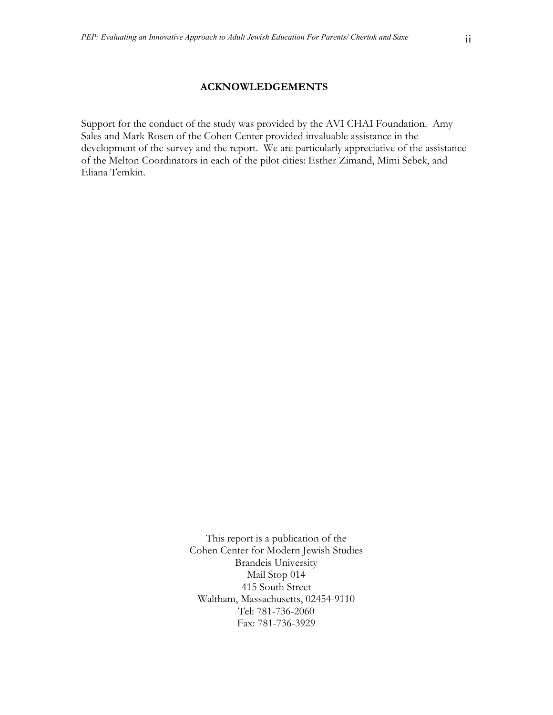#### **ACKNOWLEDGEMENTS**

Support for the conduct of the study was provided by the AVI CHAI Foundation. Amy Sales and Mark Rosen of the Cohen Center provided invaluable assistance in the development of the survey and the report. We are particularly appreciative of the assistance of the Melton Coordinators in each of the pilot cities: Esther Zimand, Mimi Sebek, and Eliana Temkin.

> This report is a publication of the Cohen Center for Modern Jewish Studies Brandeis University Mail Stop 014 415 South Street Waltham, Massachusetts, 02454-9110 Tel: 781-736-2060 Fax: 781-736-3929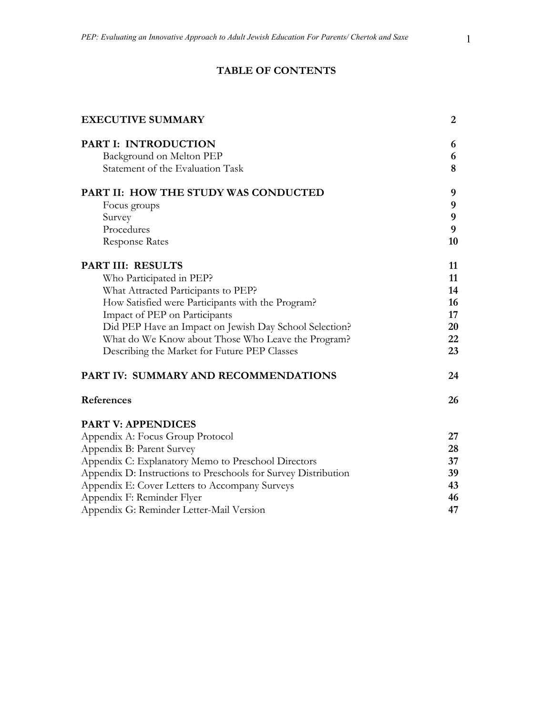# **TABLE OF CONTENTS**

| <b>EXECUTIVE SUMMARY</b>                                       | $\overline{2}$ |
|----------------------------------------------------------------|----------------|
| <b>PART I: INTRODUCTION</b>                                    | 6              |
| Background on Melton PEP                                       | 6              |
| Statement of the Evaluation Task                               | 8              |
| PART II: HOW THE STUDY WAS CONDUCTED                           | 9              |
| Focus groups                                                   | 9              |
| Survey                                                         | 9              |
| Procedures                                                     | 9              |
| <b>Response Rates</b>                                          | 10             |
| PART III: RESULTS                                              | 11             |
| Who Participated in PEP?                                       | 11             |
| What Attracted Participants to PEP?                            | 14             |
| How Satisfied were Participants with the Program?              | 16             |
| Impact of PEP on Participants                                  | 17             |
| Did PEP Have an Impact on Jewish Day School Selection?         | 20             |
| What do We Know about Those Who Leave the Program?             | 22             |
| Describing the Market for Future PEP Classes                   | 23             |
| PART IV: SUMMARY AND RECOMMENDATIONS                           | 24             |
| References                                                     | 26             |
| <b>PART V: APPENDICES</b>                                      |                |
| Appendix A: Focus Group Protocol                               | 27             |
| Appendix B: Parent Survey                                      | 28             |
| Appendix C: Explanatory Memo to Preschool Directors            | 37             |
| Appendix D: Instructions to Preschools for Survey Distribution | 39             |
| Appendix E: Cover Letters to Accompany Surveys                 | 43             |
| Appendix F: Reminder Flyer                                     | 46             |
| Appendix G: Reminder Letter-Mail Version                       | 47             |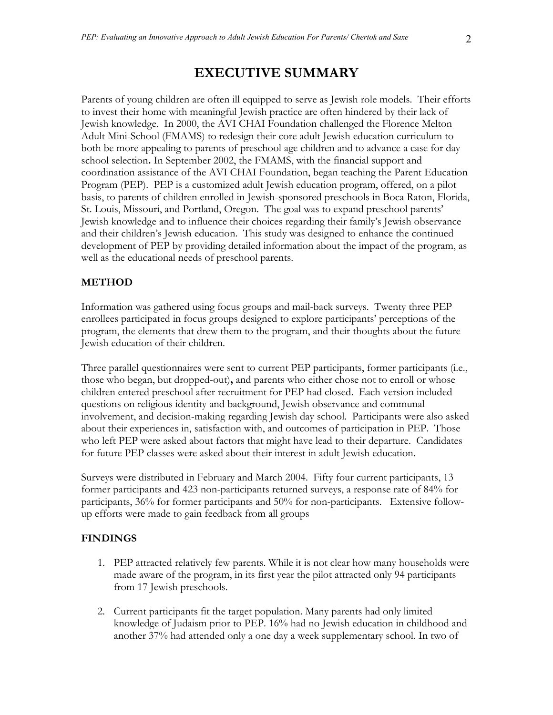Parents of young children are often ill equipped to serve as Jewish role models. Their efforts to invest their home with meaningful Jewish practice are often hindered by their lack of Jewish knowledge. In 2000, the AVI CHAI Foundation challenged the Florence Melton Adult Mini-School (FMAMS) to redesign their core adult Jewish education curriculum to both be more appealing to parents of preschool age children and to advance a case for day school selection**.** In September 2002, the FMAMS, with the financial support and coordination assistance of the AVI CHAI Foundation, began teaching the Parent Education Program (PEP). PEP is a customized adult Jewish education program, offered, on a pilot basis, to parents of children enrolled in Jewish-sponsored preschools in Boca Raton, Florida, St. Louis, Missouri, and Portland, Oregon. The goal was to expand preschool parents' Jewish knowledge and to influence their choices regarding their family's Jewish observance and their children's Jewish education. This study was designed to enhance the continued development of PEP by providing detailed information about the impact of the program, as well as the educational needs of preschool parents.

# **METHOD**

Information was gathered using focus groups and mail-back surveys. Twenty three PEP enrollees participated in focus groups designed to explore participants' perceptions of the program, the elements that drew them to the program, and their thoughts about the future Jewish education of their children.

Three parallel questionnaires were sent to current PEP participants, former participants (i.e., those who began, but dropped-out)**,** and parents who either chose not to enroll or whose children entered preschool after recruitment for PEP had closed. Each version included questions on religious identity and background, Jewish observance and communal involvement, and decision-making regarding Jewish day school. Participants were also asked about their experiences in, satisfaction with, and outcomes of participation in PEP. Those who left PEP were asked about factors that might have lead to their departure. Candidates for future PEP classes were asked about their interest in adult Jewish education.

Surveys were distributed in February and March 2004. Fifty four current participants, 13 former participants and 423 non-participants returned surveys, a response rate of 84% for participants, 36% for former participants and 50% for non-participants. Extensive followup efforts were made to gain feedback from all groups

# **FINDINGS**

- 1. PEP attracted relatively few parents. While it is not clear how many households were made aware of the program, in its first year the pilot attracted only 94 participants from 17 Jewish preschools.
- 2. Current participants fit the target population. Many parents had only limited knowledge of Judaism prior to PEP. 16% had no Jewish education in childhood and another 37% had attended only a one day a week supplementary school. In two of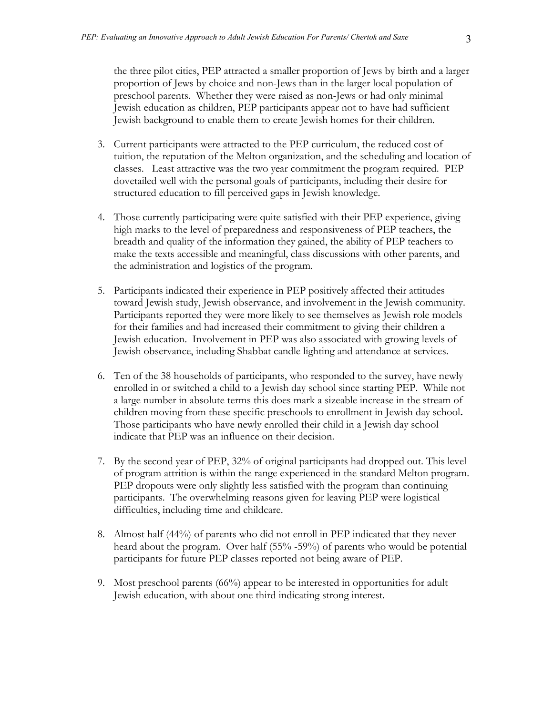the three pilot cities, PEP attracted a smaller proportion of Jews by birth and a larger proportion of Jews by choice and non-Jews than in the larger local population of preschool parents. Whether they were raised as non-Jews or had only minimal Jewish education as children, PEP participants appear not to have had sufficient Jewish background to enable them to create Jewish homes for their children.

- 3. Current participants were attracted to the PEP curriculum, the reduced cost of tuition, the reputation of the Melton organization, and the scheduling and location of classes. Least attractive was the two year commitment the program required. PEP dovetailed well with the personal goals of participants, including their desire for structured education to fill perceived gaps in Jewish knowledge.
- 4. Those currently participating were quite satisfied with their PEP experience, giving high marks to the level of preparedness and responsiveness of PEP teachers, the breadth and quality of the information they gained, the ability of PEP teachers to make the texts accessible and meaningful, class discussions with other parents, and the administration and logistics of the program.
- 5. Participants indicated their experience in PEP positively affected their attitudes toward Jewish study, Jewish observance, and involvement in the Jewish community. Participants reported they were more likely to see themselves as Jewish role models for their families and had increased their commitment to giving their children a Jewish education. Involvement in PEP was also associated with growing levels of Jewish observance, including Shabbat candle lighting and attendance at services.
- 6. Ten of the 38 households of participants, who responded to the survey, have newly enrolled in or switched a child to a Jewish day school since starting PEP. While not a large number in absolute terms this does mark a sizeable increase in the stream of children moving from these specific preschools to enrollment in Jewish day school**.**  Those participants who have newly enrolled their child in a Jewish day school indicate that PEP was an influence on their decision.
- 7. By the second year of PEP, 32% of original participants had dropped out. This level of program attrition is within the range experienced in the standard Melton program. PEP dropouts were only slightly less satisfied with the program than continuing participants. The overwhelming reasons given for leaving PEP were logistical difficulties, including time and childcare.
- 8. Almost half (44%) of parents who did not enroll in PEP indicated that they never heard about the program. Over half (55% -59%) of parents who would be potential participants for future PEP classes reported not being aware of PEP.
- 9. Most preschool parents (66%) appear to be interested in opportunities for adult Jewish education, with about one third indicating strong interest.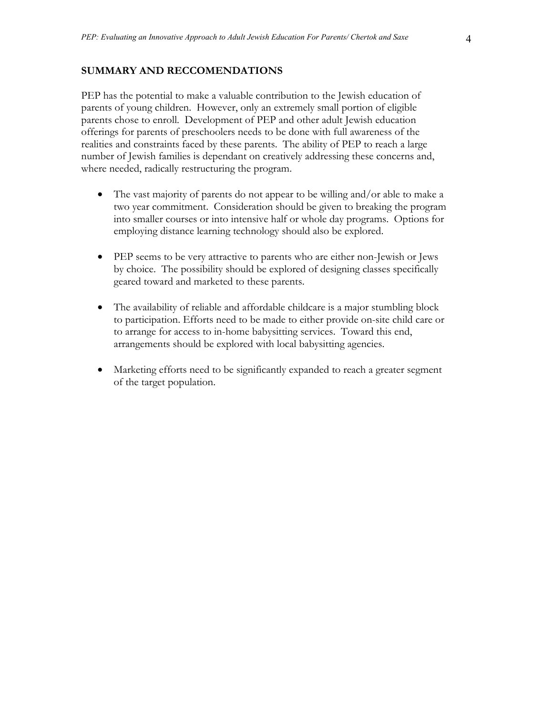#### **SUMMARY AND RECCOMENDATIONS**

PEP has the potential to make a valuable contribution to the Jewish education of parents of young children. However, only an extremely small portion of eligible parents chose to enroll. Development of PEP and other adult Jewish education offerings for parents of preschoolers needs to be done with full awareness of the realities and constraints faced by these parents. The ability of PEP to reach a large number of Jewish families is dependant on creatively addressing these concerns and, where needed, radically restructuring the program.

- The vast majority of parents do not appear to be willing and/or able to make a two year commitment. Consideration should be given to breaking the program into smaller courses or into intensive half or whole day programs. Options for employing distance learning technology should also be explored.
- PEP seems to be very attractive to parents who are either non-Jewish or Jews by choice. The possibility should be explored of designing classes specifically geared toward and marketed to these parents.
- The availability of reliable and affordable childcare is a major stumbling block to participation. Efforts need to be made to either provide on-site child care or to arrange for access to in-home babysitting services. Toward this end, arrangements should be explored with local babysitting agencies.
- Marketing efforts need to be significantly expanded to reach a greater segment of the target population.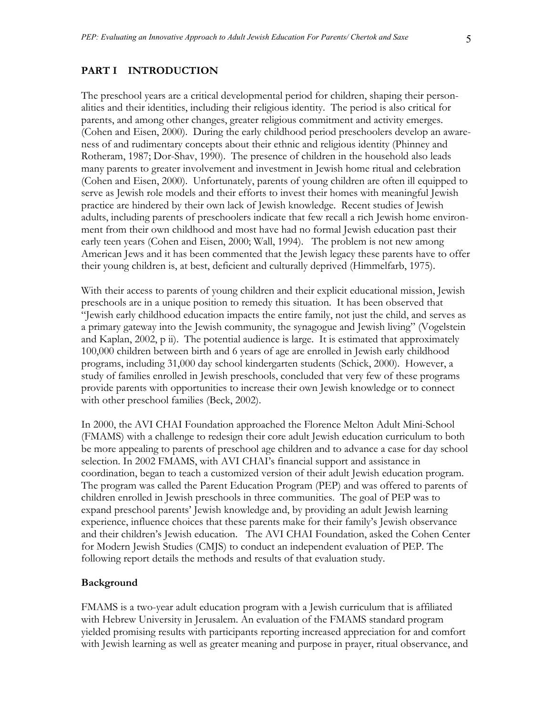#### **PART I INTRODUCTION**

The preschool years are a critical developmental period for children, shaping their personalities and their identities, including their religious identity. The period is also critical for parents, and among other changes, greater religious commitment and activity emerges. (Cohen and Eisen, 2000). During the early childhood period preschoolers develop an awareness of and rudimentary concepts about their ethnic and religious identity (Phinney and Rotheram, 1987; Dor-Shav, 1990). The presence of children in the household also leads many parents to greater involvement and investment in Jewish home ritual and celebration (Cohen and Eisen, 2000). Unfortunately, parents of young children are often ill equipped to serve as Jewish role models and their efforts to invest their homes with meaningful Jewish practice are hindered by their own lack of Jewish knowledge. Recent studies of Jewish adults, including parents of preschoolers indicate that few recall a rich Jewish home environment from their own childhood and most have had no formal Jewish education past their early teen years (Cohen and Eisen, 2000; Wall, 1994). The problem is not new among American Jews and it has been commented that the Jewish legacy these parents have to offer their young children is, at best, deficient and culturally deprived (Himmelfarb, 1975).

With their access to parents of young children and their explicit educational mission, Jewish preschools are in a unique position to remedy this situation. It has been observed that "Jewish early childhood education impacts the entire family, not just the child, and serves as a primary gateway into the Jewish community, the synagogue and Jewish living" (Vogelstein and Kaplan,  $2002$ ,  $p \text{ ii}$ ). The potential audience is large. It is estimated that approximately 100,000 children between birth and 6 years of age are enrolled in Jewish early childhood programs, including 31,000 day school kindergarten students (Schick, 2000). However, a study of families enrolled in Jewish preschools, concluded that very few of these programs provide parents with opportunities to increase their own Jewish knowledge or to connect with other preschool families (Beck, 2002).

In 2000, the AVI CHAI Foundation approached the Florence Melton Adult Mini-School (FMAMS) with a challenge to redesign their core adult Jewish education curriculum to both be more appealing to parents of preschool age children and to advance a case for day school selection. In 2002 FMAMS, with AVI CHAI's financial support and assistance in coordination, began to teach a customized version of their adult Jewish education program. The program was called the Parent Education Program (PEP) and was offered to parents of children enrolled in Jewish preschools in three communities. The goal of PEP was to expand preschool parents' Jewish knowledge and, by providing an adult Jewish learning experience, influence choices that these parents make for their family's Jewish observance and their children's Jewish education. The AVI CHAI Foundation, asked the Cohen Center for Modern Jewish Studies (CMJS) to conduct an independent evaluation of PEP. The following report details the methods and results of that evaluation study.

#### **Background**

FMAMS is a two-year adult education program with a Jewish curriculum that is affiliated with Hebrew University in Jerusalem. An evaluation of the FMAMS standard program yielded promising results with participants reporting increased appreciation for and comfort with Jewish learning as well as greater meaning and purpose in prayer, ritual observance, and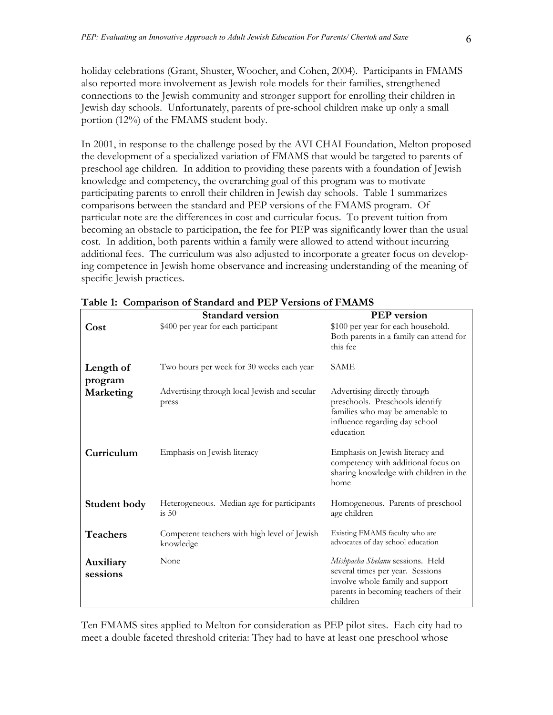holiday celebrations (Grant, Shuster, Woocher, and Cohen, 2004). Participants in FMAMS also reported more involvement as Jewish role models for their families, strengthened connections to the Jewish community and stronger support for enrolling their children in Jewish day schools. Unfortunately, parents of pre-school children make up only a small portion (12%) of the FMAMS student body.

In 2001, in response to the challenge posed by the AVI CHAI Foundation, Melton proposed the development of a specialized variation of FMAMS that would be targeted to parents of preschool age children. In addition to providing these parents with a foundation of Jewish knowledge and competency, the overarching goal of this program was to motivate participating parents to enroll their children in Jewish day schools. Table 1 summarizes comparisons between the standard and PEP versions of the FMAMS program. Of particular note are the differences in cost and curricular focus. To prevent tuition from becoming an obstacle to participation, the fee for PEP was significantly lower than the usual cost. In addition, both parents within a family were allowed to attend without incurring additional fees. The curriculum was also adjusted to incorporate a greater focus on developing competence in Jewish home observance and increasing understanding of the meaning of specific Jewish practices.

|                       | <b>Standard version</b>                                   | <b>PEP</b> version                                                                                                                                            |
|-----------------------|-----------------------------------------------------------|---------------------------------------------------------------------------------------------------------------------------------------------------------------|
| Cost                  | \$400 per year for each participant                       | \$100 per year for each household.<br>Both parents in a family can attend for<br>this fee                                                                     |
| Length of<br>program  | Two hours per week for 30 weeks each year                 | <b>SAME</b>                                                                                                                                                   |
| Marketing             | Advertising through local Jewish and secular<br>press     | Advertising directly through<br>preschools. Preschools identify<br>families who may be amenable to<br>influence regarding day school<br>education             |
| Curriculum            | Emphasis on Jewish literacy                               | Emphasis on Jewish literacy and<br>competency with additional focus on<br>sharing knowledge with children in the<br>home                                      |
| Student body          | Heterogeneous. Median age for participants<br>is 50       | Homogeneous. Parents of preschool<br>age children                                                                                                             |
| <b>Teachers</b>       | Competent teachers with high level of Jewish<br>knowledge | Existing FMAMS faculty who are<br>advocates of day school education                                                                                           |
| Auxiliary<br>sessions | None                                                      | Mishpacha Shelanu sessions. Held<br>several times per year. Sessions<br>involve whole family and support<br>parents in becoming teachers of their<br>children |

**Table 1: Comparison of Standard and PEP Versions of FMAMS** 

Ten FMAMS sites applied to Melton for consideration as PEP pilot sites. Each city had to meet a double faceted threshold criteria: They had to have at least one preschool whose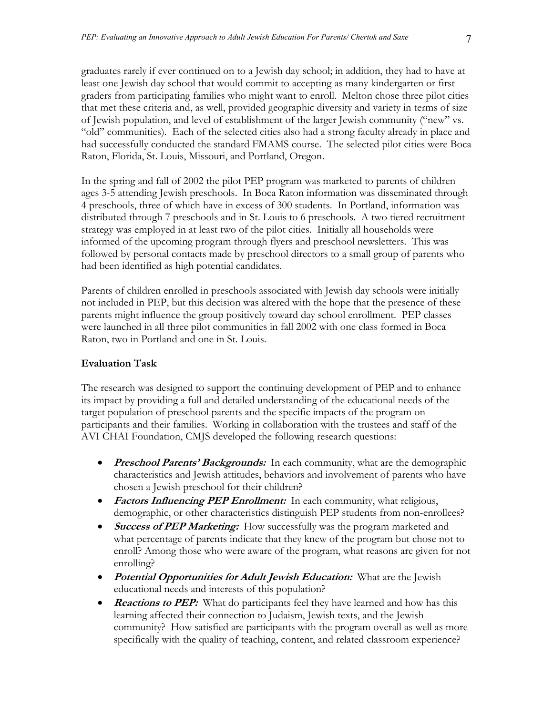graduates rarely if ever continued on to a Jewish day school; in addition, they had to have at least one Jewish day school that would commit to accepting as many kindergarten or first graders from participating families who might want to enroll. Melton chose three pilot cities that met these criteria and, as well, provided geographic diversity and variety in terms of size of Jewish population, and level of establishment of the larger Jewish community ("new" vs. "old" communities). Each of the selected cities also had a strong faculty already in place and had successfully conducted the standard FMAMS course. The selected pilot cities were Boca Raton, Florida, St. Louis, Missouri, and Portland, Oregon.

In the spring and fall of 2002 the pilot PEP program was marketed to parents of children ages 3-5 attending Jewish preschools. In Boca Raton information was disseminated through 4 preschools, three of which have in excess of 300 students. In Portland, information was distributed through 7 preschools and in St. Louis to 6 preschools. A two tiered recruitment strategy was employed in at least two of the pilot cities. Initially all households were informed of the upcoming program through flyers and preschool newsletters. This was followed by personal contacts made by preschool directors to a small group of parents who had been identified as high potential candidates.

Parents of children enrolled in preschools associated with Jewish day schools were initially not included in PEP, but this decision was altered with the hope that the presence of these parents might influence the group positively toward day school enrollment. PEP classes were launched in all three pilot communities in fall 2002 with one class formed in Boca Raton, two in Portland and one in St. Louis.

# **Evaluation Task**

The research was designed to support the continuing development of PEP and to enhance its impact by providing a full and detailed understanding of the educational needs of the target population of preschool parents and the specific impacts of the program on participants and their families. Working in collaboration with the trustees and staff of the AVI CHAI Foundation, CMJS developed the following research questions:

- *Preschool Parents' Backgrounds:* In each community, what are the demographic characteristics and Jewish attitudes, behaviors and involvement of parents who have chosen a Jewish preschool for their children?
- *Factors Influencing PEP Enrollment:* In each community, what religious, demographic, or other characteristics distinguish PEP students from non-enrollees?
- **Success of PEP Marketing:** How successfully was the program marketed and what percentage of parents indicate that they knew of the program but chose not to enroll? Among those who were aware of the program, what reasons are given for not enrolling?
- **Potential Opportunities for Adult Jewish Education:** What are the Jewish educational needs and interests of this population?
- **Reactions to PEP:** What do participants feel they have learned and how has this learning affected their connection to Judaism, Jewish texts, and the Jewish community? How satisfied are participants with the program overall as well as more specifically with the quality of teaching, content, and related classroom experience?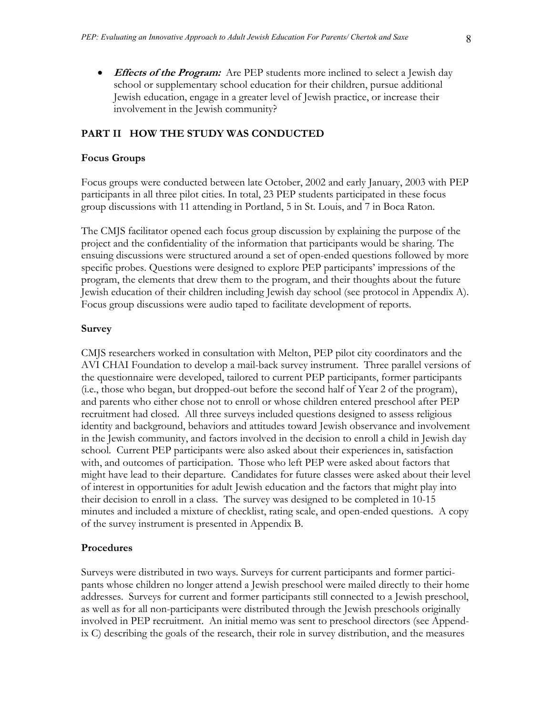• *Effects of the Program:* Are PEP students more inclined to select a Jewish day school or supplementary school education for their children, pursue additional Jewish education, engage in a greater level of Jewish practice, or increase their involvement in the Jewish community?

#### **PART II HOW THE STUDY WAS CONDUCTED**

#### **Focus Groups**

Focus groups were conducted between late October, 2002 and early January, 2003 with PEP participants in all three pilot cities. In total, 23 PEP students participated in these focus group discussions with 11 attending in Portland, 5 in St. Louis, and 7 in Boca Raton.

The CMJS facilitator opened each focus group discussion by explaining the purpose of the project and the confidentiality of the information that participants would be sharing. The ensuing discussions were structured around a set of open-ended questions followed by more specific probes. Questions were designed to explore PEP participants' impressions of the program, the elements that drew them to the program, and their thoughts about the future Jewish education of their children including Jewish day school (see protocol in Appendix A). Focus group discussions were audio taped to facilitate development of reports.

#### **Survey**

CMJS researchers worked in consultation with Melton, PEP pilot city coordinators and the AVI CHAI Foundation to develop a mail-back survey instrument. Three parallel versions of the questionnaire were developed, tailored to current PEP participants, former participants (i.e., those who began, but dropped-out before the second half of Year 2 of the program), and parents who either chose not to enroll or whose children entered preschool after PEP recruitment had closed. All three surveys included questions designed to assess religious identity and background, behaviors and attitudes toward Jewish observance and involvement in the Jewish community, and factors involved in the decision to enroll a child in Jewish day school. Current PEP participants were also asked about their experiences in, satisfaction with, and outcomes of participation. Those who left PEP were asked about factors that might have lead to their departure. Candidates for future classes were asked about their level of interest in opportunities for adult Jewish education and the factors that might play into their decision to enroll in a class. The survey was designed to be completed in 10-15 minutes and included a mixture of checklist, rating scale, and open-ended questions. A copy of the survey instrument is presented in Appendix B.

#### **Procedures**

Surveys were distributed in two ways. Surveys for current participants and former participants whose children no longer attend a Jewish preschool were mailed directly to their home addresses. Surveys for current and former participants still connected to a Jewish preschool, as well as for all non-participants were distributed through the Jewish preschools originally involved in PEP recruitment. An initial memo was sent to preschool directors (see Appendix C) describing the goals of the research, their role in survey distribution, and the measures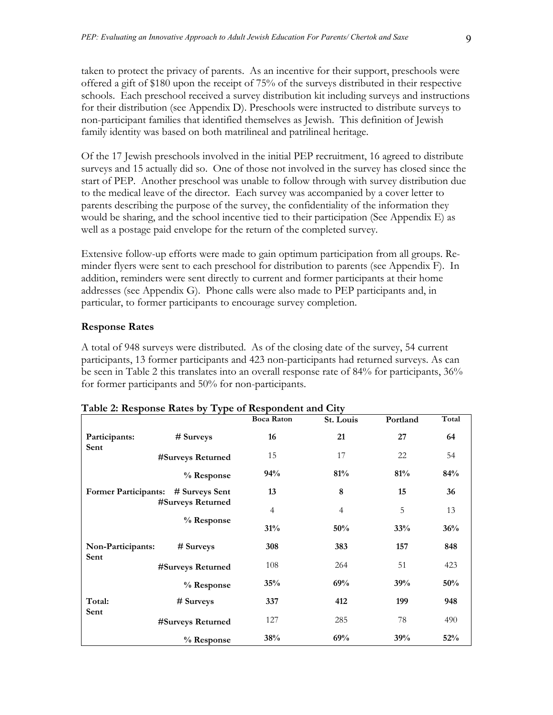taken to protect the privacy of parents. As an incentive for their support, preschools were offered a gift of \$180 upon the receipt of 75% of the surveys distributed in their respective schools. Each preschool received a survey distribution kit including surveys and instructions for their distribution (see Appendix D). Preschools were instructed to distribute surveys to non-participant families that identified themselves as Jewish. This definition of Jewish family identity was based on both matrilineal and patrilineal heritage.

Of the 17 Jewish preschools involved in the initial PEP recruitment, 16 agreed to distribute surveys and 15 actually did so. One of those not involved in the survey has closed since the start of PEP. Another preschool was unable to follow through with survey distribution due to the medical leave of the director. Each survey was accompanied by a cover letter to parents describing the purpose of the survey, the confidentiality of the information they would be sharing, and the school incentive tied to their participation (See Appendix E) as well as a postage paid envelope for the return of the completed survey.

Extensive follow-up efforts were made to gain optimum participation from all groups. Reminder flyers were sent to each preschool for distribution to parents (see Appendix F). In addition, reminders were sent directly to current and former participants at their home addresses (see Appendix G). Phone calls were also made to PEP participants and, in particular, to former participants to encourage survey completion.

# **Response Rates**

A total of 948 surveys were distributed. As of the closing date of the survey, 54 current participants, 13 former participants and 423 non-participants had returned surveys. As can be seen in Table 2 this translates into an overall response rate of 84% for participants, 36% for former participants and 50% for non-participants.

|                             | <b>Table 2. Response Rates by Type of Respondent and Only</b> | <b>Boca Raton</b> | St. Louis      | Portland | Total |
|-----------------------------|---------------------------------------------------------------|-------------------|----------------|----------|-------|
| Participants:               | # Surveys                                                     | 16                | 21             | 27       | 64    |
| Sent                        | #Surveys Returned                                             | 15                | 17             | 22       | 54    |
|                             | % Response                                                    | 94%               | 81%            | 81%      | 84%   |
| <b>Former Participants:</b> | # Surveys Sent                                                | 13                | 8              | 15       | 36    |
|                             | #Surveys Returned                                             | $\overline{4}$    | $\overline{4}$ | 5        | 13    |
|                             | % Response                                                    | 31%               | 50%            | 33%      | 36%   |
| Non-Participants:           | # Surveys                                                     | 308               | 383            | 157      | 848   |
| Sent                        | #Surveys Returned                                             | 108               | 264            | 51       | 423   |
|                             | % Response                                                    | 35%               | 69%            | 39%      | 50%   |
| Total:                      | # Surveys                                                     | 337               | 412            | 199      | 948   |
| Sent                        | #Surveys Returned                                             | 127               | 285            | 78       | 490   |
|                             | % Response                                                    | 38%               | 69%            | 39%      | 52%   |

| Table 2: Response Rates by Type of Respondent and City |  |  |  |  |
|--------------------------------------------------------|--|--|--|--|
|                                                        |  |  |  |  |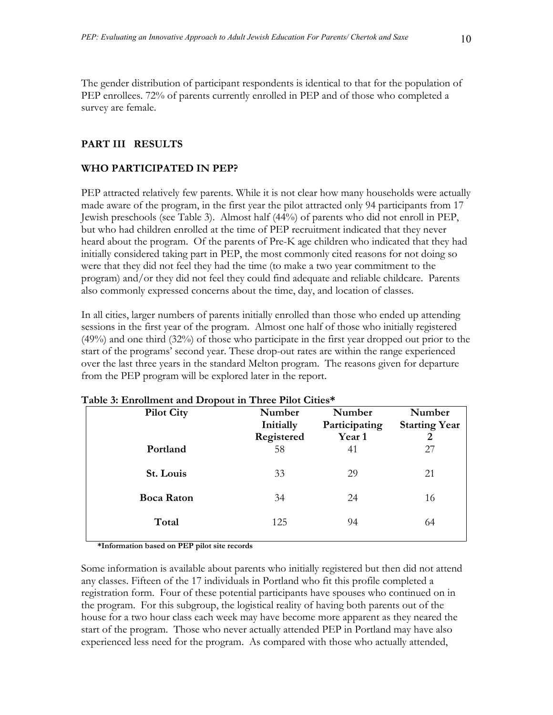The gender distribution of participant respondents is identical to that for the population of PEP enrollees. 72% of parents currently enrolled in PEP and of those who completed a survey are female.

# **PART III RESULTS**

# **WHO PARTICIPATED IN PEP?**

PEP attracted relatively few parents. While it is not clear how many households were actually made aware of the program, in the first year the pilot attracted only 94 participants from 17 Jewish preschools (see Table 3). Almost half (44%) of parents who did not enroll in PEP, but who had children enrolled at the time of PEP recruitment indicated that they never heard about the program. Of the parents of Pre-K age children who indicated that they had initially considered taking part in PEP, the most commonly cited reasons for not doing so were that they did not feel they had the time (to make a two year commitment to the program) and/or they did not feel they could find adequate and reliable childcare. Parents also commonly expressed concerns about the time, day, and location of classes.

In all cities, larger numbers of parents initially enrolled than those who ended up attending sessions in the first year of the program. Almost one half of those who initially registered (49%) and one third (32%) of those who participate in the first year dropped out prior to the start of the programs' second year. These drop-out rates are within the range experienced over the last three years in the standard Melton program. The reasons given for departure from the PEP program will be explored later in the report.

| <b>Pilot City</b> | Number<br>Initially<br>Registered | Number<br>Participating<br>Year 1 | Number<br><b>Starting Year</b><br>2 |
|-------------------|-----------------------------------|-----------------------------------|-------------------------------------|
| Portland          | 58                                | 41                                | 27                                  |
| St. Louis         | 33                                | 29                                | 21                                  |
| <b>Boca Raton</b> | 34                                | 24                                | 16                                  |
| Total             | 125                               | 94                                | 64                                  |
|                   |                                   |                                   |                                     |

#### **Table 3: Enrollment and Dropout in Three Pilot Cities\***

**\*Information based on PEP pilot site records** 

Some information is available about parents who initially registered but then did not attend any classes. Fifteen of the 17 individuals in Portland who fit this profile completed a registration form. Four of these potential participants have spouses who continued on in the program. For this subgroup, the logistical reality of having both parents out of the house for a two hour class each week may have become more apparent as they neared the start of the program. Those who never actually attended PEP in Portland may have also experienced less need for the program. As compared with those who actually attended,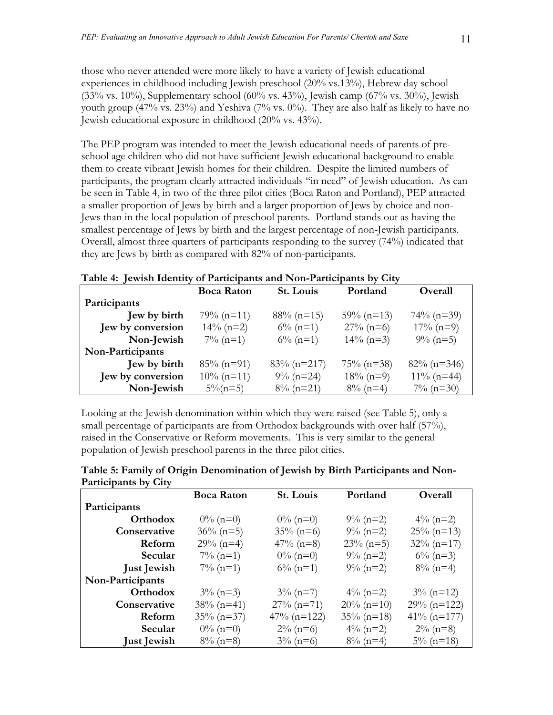those who never attended were more likely to have a variety of Jewish educational experiences in childhood including Jewish preschool (20% vs.13%), Hebrew day school (33% vs. 10%), Supplementary school (60% vs. 43%), Jewish camp (67% vs. 30%), Jewish youth group (47% vs. 23%) and Yeshiva (7% vs.  $0\%$ ). They are also half as likely to have no Jewish educational exposure in childhood (20% vs. 43%).

The PEP program was intended to meet the Jewish educational needs of parents of preschool age children who did not have sufficient Jewish educational background to enable them to create vibrant Jewish homes for their children. Despite the limited numbers of participants, the program clearly attracted individuals "in need" of Jewish education. As can be seen in Table 4, in two of the three pilot cities (Boca Raton and Portland), PEP attracted a smaller proportion of Jews by birth and a larger proportion of Jews by choice and non-Jews than in the local population of preschool parents. Portland stands out as having the smallest percentage of Jews by birth and the largest percentage of non-Jewish participants. Overall, almost three quarters of participants responding to the survey (74%) indicated that they are Jews by birth as compared with 82% of non-participants.

| Table 4: Jewish Identity of Participants and Non-Participants by City |  |
|-----------------------------------------------------------------------|--|
|-----------------------------------------------------------------------|--|

|                   | <b>Boca Raton</b> | St. Louis      | Portland      | Overall        |
|-------------------|-------------------|----------------|---------------|----------------|
| Participants      |                   |                |               |                |
| Jew by birth      | $79\% (n=11)$     | $88\%$ (n=15)  | $59\%$ (n=13) | $74\%$ (n=39)  |
| Jew by conversion | $14\%$ (n=2)      | $6\%$ (n=1)    | $27\%$ (n=6)  | $17\% (n=9)$   |
| Non-Jewish        | $7\%$ (n=1)       | $6\%$ (n=1)    | $14\%$ (n=3)  | $9\%$ (n=5)    |
| Non-Participants  |                   |                |               |                |
| Jew by birth      | $85\%$ (n=91)     | $83\%$ (n=217) | $75\%$ (n=38) | $82\%$ (n=346) |
| Jew by conversion | $10\%$ (n=11)     | $9\%$ (n=24)   | $18\% (n=9)$  | $11\%$ (n=44)  |
| Non-Jewish        | $5\%$ (n=5)       | $8\%$ (n=21)   | $8\%$ (n=4)   | $7\%$ (n=30)   |

Looking at the Jewish denomination within which they were raised (see Table 5), only a small percentage of participants are from Orthodox backgrounds with over half (57%), raised in the Conservative or Reform movements. This is very similar to the general population of Jewish preschool parents in the three pilot cities.

| Table 5: Family of Origin Denomination of Jewish by Birth Participants and Non- |  |
|---------------------------------------------------------------------------------|--|
| Participants by City                                                            |  |

|                    | <b>Boca Raton</b> | St. Louis      | Portland      | Overall        |
|--------------------|-------------------|----------------|---------------|----------------|
| Participants       |                   |                |               |                |
| Orthodox           | $0\%$ (n=0)       | $0\%$ (n=0)    | $9\%$ (n=2)   | $4\%$ (n=2)    |
| Conservative       | $36\%$ (n=5)      | $35\%$ (n=6)   | $9\%$ (n=2)   | $25\%$ (n=13)  |
| Reform             | $29\%$ (n=4)      | $47\%$ (n=8)   | $23\%$ (n=5)  | $32\%$ (n=17)  |
| Secular            | $7\%$ (n=1)       | $0\%$ (n=0)    | $9\% (n=2)$   | $6\%$ (n=3)    |
| <b>Just Jewish</b> | $7\%$ (n=1)       | $6\%$ (n=1)    | $9\%$ (n=2)   | $8\%$ (n=4)    |
| Non-Participants   |                   |                |               |                |
| Orthodox           | $3\%$ (n=3)       | $3\%$ (n=7)    | $4\%$ (n=2)   | $3\%$ (n=12)   |
| Conservative       | $38\%$ (n=41)     | $27\%$ (n=71)  | $20\%$ (n=10) | $29\%$ (n=122) |
| Reform             | $35\%$ (n=37)     | $47\%$ (n=122) | $35\%$ (n=18) | $41\%$ (n=177) |
| Secular            | $0\%$ (n=0)       | $2\%$ (n=6)    | $4\%$ (n=2)   | $2\%$ (n=8)    |
| <b>Just Jewish</b> | $8\%$ (n=8)       | $3\%$ (n=6)    | $8\%$ (n=4)   | $5\%$ (n=18)   |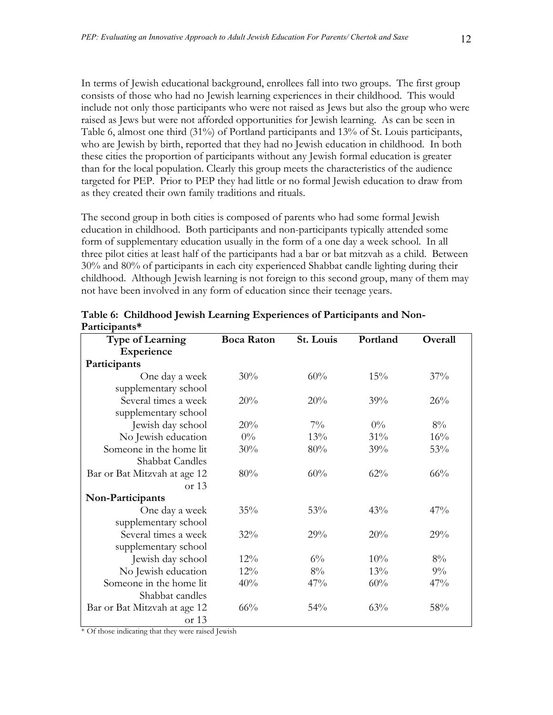In terms of Jewish educational background, enrollees fall into two groups. The first group consists of those who had no Jewish learning experiences in their childhood. This would include not only those participants who were not raised as Jews but also the group who were raised as Jews but were not afforded opportunities for Jewish learning. As can be seen in Table 6, almost one third (31%) of Portland participants and 13% of St. Louis participants, who are Jewish by birth, reported that they had no Jewish education in childhood. In both these cities the proportion of participants without any Jewish formal education is greater than for the local population. Clearly this group meets the characteristics of the audience targeted for PEP. Prior to PEP they had little or no formal Jewish education to draw from as they created their own family traditions and rituals.

The second group in both cities is composed of parents who had some formal Jewish education in childhood. Both participants and non-participants typically attended some form of supplementary education usually in the form of a one day a week school. In all three pilot cities at least half of the participants had a bar or bat mitzvah as a child. Between 30% and 80% of participants in each city experienced Shabbat candle lighting during their childhood. Although Jewish learning is not foreign to this second group, many of them may not have been involved in any form of education since their teenage years.

| <b>Type of Learning</b>      | <b>Boca Raton</b> | St. Louis | Portland | <b>Overall</b> |
|------------------------------|-------------------|-----------|----------|----------------|
| Experience                   |                   |           |          |                |
| Participants                 |                   |           |          |                |
| One day a week               | 30%               | 60%       | $15\%$   | $37\%$         |
| supplementary school         |                   |           |          |                |
| Several times a week         | 20%               | 20%       | 39%      | 26%            |
| supplementary school         |                   |           |          |                |
| Jewish day school            | 20%               | $7\%$     | $0\%$    | $8\%$          |
| No Jewish education          | $0\%$             | 13%       | 31%      | 16%            |
| Someone in the home lit      | 30%               | 80%       | 39%      | 53%            |
| <b>Shabbat Candles</b>       |                   |           |          |                |
| Bar or Bat Mitzvah at age 12 | 80%               | 60%       | $62\%$   | 66%            |
| or $13$                      |                   |           |          |                |
| Non-Participants             |                   |           |          |                |
| One day a week               | 35%               | 53%       | 43%      | 47%            |
| supplementary school         |                   |           |          |                |
| Several times a week         | 32%               | 29%       | 20%      | 29%            |
| supplementary school         |                   |           |          |                |
| Jewish day school            | $12\%$            | $6\%$     | 10%      | $8\%$          |
| No Jewish education          | $12\%$            | 8%        | 13%      | $9\%$          |
| Someone in the home lit      | 40%               | 47%       | 60%      | 47%            |
| Shabbat candles              |                   |           |          |                |
| Bar or Bat Mitzvah at age 12 | 66%               | 54%       | 63%      | 58%            |
| or 13                        |                   |           |          |                |

**Table 6: Childhood Jewish Learning Experiences of Participants and Non-Participants\*** 

\* Of those indicating that they were raised Jewish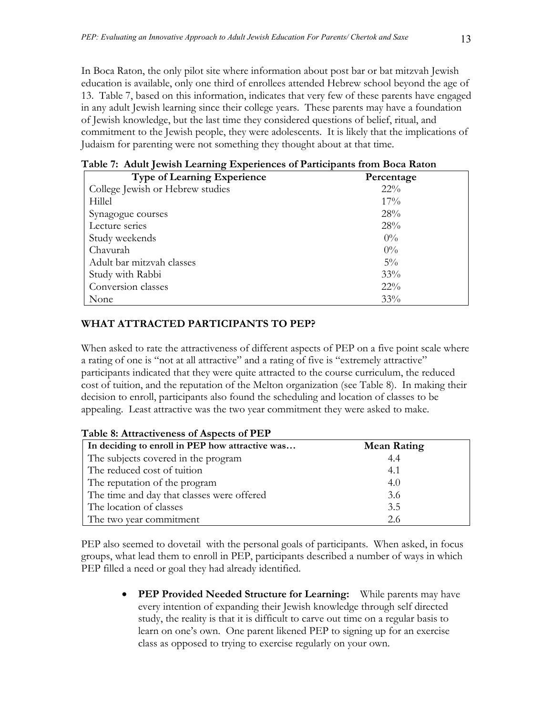In Boca Raton, the only pilot site where information about post bar or bat mitzvah Jewish education is available, only one third of enrollees attended Hebrew school beyond the age of 13. Table 7, based on this information, indicates that very few of these parents have engaged in any adult Jewish learning since their college years. These parents may have a foundation of Jewish knowledge, but the last time they considered questions of belief, ritual, and commitment to the Jewish people, they were adolescents. It is likely that the implications of Judaism for parenting were not something they thought about at that time.

| <b>Type of Learning Experience</b> | Percentage |
|------------------------------------|------------|
| College Jewish or Hebrew studies   | $22\%$     |
| Hillel                             | $17\%$     |
| Synagogue courses                  | 28%        |
| Lecture series                     | 28%        |
| Study weekends                     | $0\%$      |
| Chavurah                           | $0\%$      |
| Adult bar mitzvah classes          | $5\%$      |
| Study with Rabbi                   | $33\%$     |
| Conversion classes                 | $22\%$     |
| None                               | 33%        |

# **Table 7: Adult Jewish Learning Experiences of Participants from Boca Raton**

# **WHAT ATTRACTED PARTICIPANTS TO PEP?**

When asked to rate the attractiveness of different aspects of PEP on a five point scale where a rating of one is "not at all attractive" and a rating of five is "extremely attractive" participants indicated that they were quite attracted to the course curriculum, the reduced cost of tuition, and the reputation of the Melton organization (see Table 8). In making their decision to enroll, participants also found the scheduling and location of classes to be appealing. Least attractive was the two year commitment they were asked to make.

| In deciding to enroll in PEP how attractive was | <b>Mean Rating</b> |
|-------------------------------------------------|--------------------|
| The subjects covered in the program             | 4.4                |
| The reduced cost of tuition                     | 4.1                |
| The reputation of the program                   | 4.0                |
| The time and day that classes were offered      | 3.6                |
| The location of classes                         | 3.5                |
| The two year commitment                         | 2.6                |

#### **Table 8: Attractiveness of Aspects of PEP**

PEP also seemed to dovetail with the personal goals of participants. When asked, in focus groups, what lead them to enroll in PEP, participants described a number of ways in which PEP filled a need or goal they had already identified.

> **PEP Provided Needed Structure for Learning:** While parents may have every intention of expanding their Jewish knowledge through self directed study, the reality is that it is difficult to carve out time on a regular basis to learn on one's own. One parent likened PEP to signing up for an exercise class as opposed to trying to exercise regularly on your own.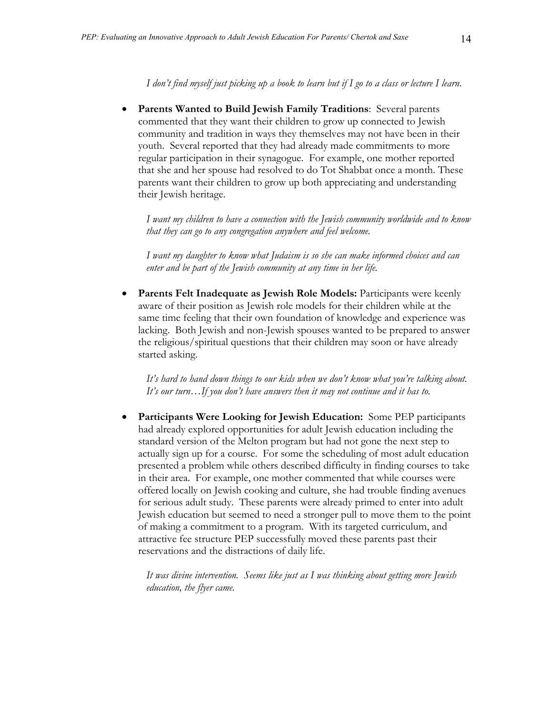*I don't find myself just picking up a book to learn but if I go to a class or lecture I learn*.

• **Parents Wanted to Build Jewish Family Traditions**: Several parents commented that they want their children to grow up connected to Jewish community and tradition in ways they themselves may not have been in their youth. Several reported that they had already made commitments to more regular participation in their synagogue. For example, one mother reported that she and her spouse had resolved to do Tot Shabbat once a month. These parents want their children to grow up both appreciating and understanding their Jewish heritage.

*I want my children to have a connection with the Jewish community worldwide and to know that they can go to any congregation anywhere and feel welcome.* 

*I want my daughter to know what Judaism is so she can make informed choices and can enter and be part of the Jewish community at any time in her life.* 

Parents Felt Inadequate as Jewish Role Models: Participants were keenly aware of their position as Jewish role models for their children while at the same time feeling that their own foundation of knowledge and experience was lacking. Both Jewish and non-Jewish spouses wanted to be prepared to answer the religious/spiritual questions that their children may soon or have already started asking.

*It's hard to hand down things to our kids when we don't know what you're talking about. It's our turn…If you don't have answers then it may not continue and it has to.* 

• **Participants Were Looking for Jewish Education:** Some PEP participants had already explored opportunities for adult Jewish education including the standard version of the Melton program but had not gone the next step to actually sign up for a course. For some the scheduling of most adult education presented a problem while others described difficulty in finding courses to take in their area. For example, one mother commented that while courses were offered locally on Jewish cooking and culture, she had trouble finding avenues for serious adult study. These parents were already primed to enter into adult Jewish education but seemed to need a stronger pull to move them to the point of making a commitment to a program. With its targeted curriculum, and attractive fee structure PEP successfully moved these parents past their reservations and the distractions of daily life.

*It was divine intervention. Seems like just as I was thinking about getting more Jewish education, the flyer came.*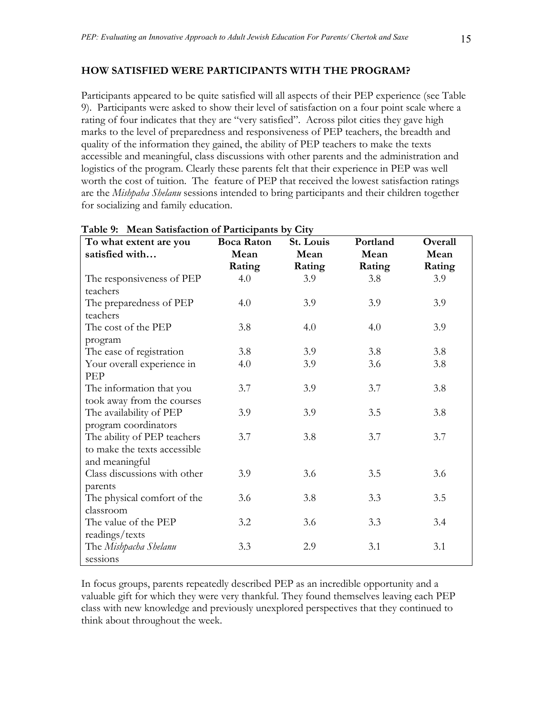#### **HOW SATISFIED WERE PARTICIPANTS WITH THE PROGRAM?**

Participants appeared to be quite satisfied will all aspects of their PEP experience (see Table 9). Participants were asked to show their level of satisfaction on a four point scale where a rating of four indicates that they are "very satisfied". Across pilot cities they gave high marks to the level of preparedness and responsiveness of PEP teachers, the breadth and quality of the information they gained, the ability of PEP teachers to make the texts accessible and meaningful, class discussions with other parents and the administration and logistics of the program. Clearly these parents felt that their experience in PEP was well worth the cost of tuition. The feature of PEP that received the lowest satisfaction ratings are the *Mishpaha Shelanu* sessions intended to bring participants and their children together for socializing and family education.

| To what extent are you       | <b>Boca Raton</b> | St. Louis | Portland | Overall |
|------------------------------|-------------------|-----------|----------|---------|
| satisfied with               | Mean              | Mean      | Mean     | Mean    |
|                              | Rating            | Rating    | Rating   | Rating  |
| The responsiveness of PEP    | 4.0               | 3.9       | 3.8      | 3.9     |
| teachers                     |                   |           |          |         |
| The preparedness of PEP      | 4.0               | 3.9       | 3.9      | 3.9     |
| teachers                     |                   |           |          |         |
| The cost of the PEP          | 3.8               | 4.0       | 4.0      | 3.9     |
| program                      |                   |           |          |         |
| The ease of registration     | 3.8               | 3.9       | 3.8      | 3.8     |
| Your overall experience in   | 4.0               | 3.9       | 3.6      | 3.8     |
| PEP                          |                   |           |          |         |
| The information that you     | 3.7               | 3.9       | 3.7      | 3.8     |
| took away from the courses   |                   |           |          |         |
| The availability of PEP      | 3.9               | 3.9       | 3.5      | 3.8     |
| program coordinators         |                   |           |          |         |
| The ability of PEP teachers  | 3.7               | 3.8       | 3.7      | 3.7     |
| to make the texts accessible |                   |           |          |         |
| and meaningful               |                   |           |          |         |
| Class discussions with other | 3.9               | 3.6       | 3.5      | 3.6     |
| parents                      |                   |           |          |         |
| The physical comfort of the  | 3.6               | 3.8       | 3.3      | 3.5     |
| classroom                    |                   |           |          |         |
| The value of the PEP         | 3.2               | 3.6       | 3.3      | 3.4     |
| readings/texts               |                   |           |          |         |
| The Mishpacha Shelanu        | 3.3               | 2.9       | 3.1      | 3.1     |
| sessions                     |                   |           |          |         |

#### **Table 9: Mean Satisfaction of Participants by City**

In focus groups, parents repeatedly described PEP as an incredible opportunity and a valuable gift for which they were very thankful. They found themselves leaving each PEP class with new knowledge and previously unexplored perspectives that they continued to think about throughout the week.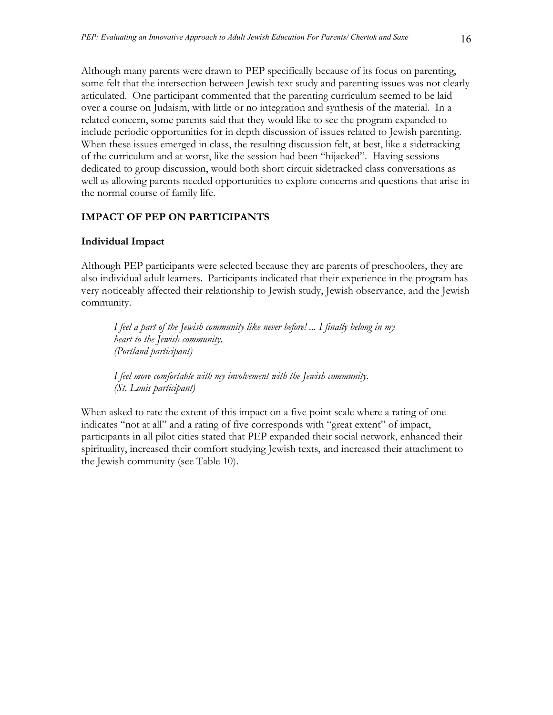Although many parents were drawn to PEP specifically because of its focus on parenting, some felt that the intersection between Jewish text study and parenting issues was not clearly articulated. One participant commented that the parenting curriculum seemed to be laid over a course on Judaism, with little or no integration and synthesis of the material. In a related concern, some parents said that they would like to see the program expanded to include periodic opportunities for in depth discussion of issues related to Jewish parenting. When these issues emerged in class, the resulting discussion felt, at best, like a sidetracking of the curriculum and at worst, like the session had been "hijacked". Having sessions dedicated to group discussion, would both short circuit sidetracked class conversations as well as allowing parents needed opportunities to explore concerns and questions that arise in the normal course of family life.

#### **IMPACT OF PEP ON PARTICIPANTS**

#### **Individual Impact**

Although PEP participants were selected because they are parents of preschoolers, they are also individual adult learners. Participants indicated that their experience in the program has very noticeably affected their relationship to Jewish study, Jewish observance, and the Jewish community.

*I feel a part of the Jewish community like never before! ... I finally belong in my heart to the Jewish community. (Portland participant)* 

*I feel more comfortable with my involvement with the Jewish community*. *(St. Louis participant)* 

When asked to rate the extent of this impact on a five point scale where a rating of one indicates "not at all" and a rating of five corresponds with "great extent" of impact, participants in all pilot cities stated that PEP expanded their social network, enhanced their spirituality, increased their comfort studying Jewish texts, and increased their attachment to the Jewish community (see Table 10).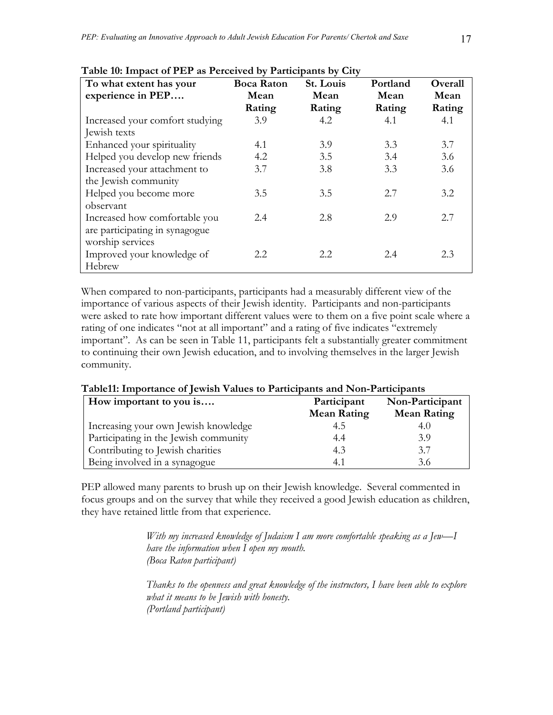| To what extent has your         | <b>Boca Raton</b> | St. Louis | Portland | Overall |
|---------------------------------|-------------------|-----------|----------|---------|
| experience in PEP               | Mean              | Mean      | Mean     | Mean    |
|                                 | Rating            | Rating    | Rating   | Rating  |
| Increased your comfort studying | 3.9               | 4.2       | 4.1      | 4.1     |
| Jewish texts                    |                   |           |          |         |
| Enhanced your spirituality      | 4.1               | 3.9       | 3.3      | 3.7     |
| Helped you develop new friends  | 4.2               | 3.5       | 3.4      | 3.6     |
| Increased your attachment to    | 3.7               | 3.8       | 3.3      | 3.6     |
| the Jewish community            |                   |           |          |         |
| Helped you become more          | 3.5               | 3.5       | 2.7      | 3.2     |
| observant                       |                   |           |          |         |
| Increased how comfortable you   | 2.4               | 2.8       | 2.9      | 2.7     |
| are participating in synagogue  |                   |           |          |         |
| worship services                |                   |           |          |         |
| Improved your knowledge of      | 2.2               | 2.2       | 2.4      | 2.3     |
| Hebrew                          |                   |           |          |         |

#### **Table 10: Impact of PEP as Perceived by Participants by City**

When compared to non-participants, participants had a measurably different view of the importance of various aspects of their Jewish identity. Participants and non-participants were asked to rate how important different values were to them on a five point scale where a rating of one indicates "not at all important" and a rating of five indicates "extremely important". As can be seen in Table 11, participants felt a substantially greater commitment to continuing their own Jewish education, and to involving themselves in the larger Jewish community.

| How important to you is               | Participant<br><b>Mean Rating</b> | Non-Participant<br><b>Mean Rating</b> |
|---------------------------------------|-----------------------------------|---------------------------------------|
| Increasing your own Jewish knowledge  | 4.5                               | 4.0                                   |
| Participating in the Jewish community | 4.4                               | 3.9                                   |
| Contributing to Jewish charities      | 4.3                               | 3.7                                   |
| Being involved in a synagogue         | 4.1                               | 3.6                                   |

#### **Table11: Importance of Jewish Values to Participants and Non-Participants**

PEP allowed many parents to brush up on their Jewish knowledge. Several commented in focus groups and on the survey that while they received a good Jewish education as children, they have retained little from that experience.

> *With my increased knowledge of Judaism I am more comfortable speaking as a Jew—I have the information when I open my mouth. (Boca Raton participant)*

*Thanks to the openness and great knowledge of the instructors, I have been able to explore what it means to be Jewish with honesty. (Portland participant)*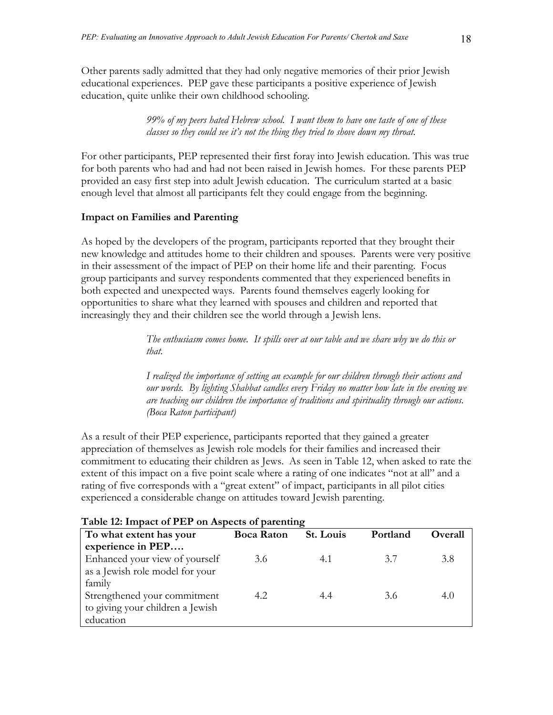Other parents sadly admitted that they had only negative memories of their prior Jewish educational experiences. PEP gave these participants a positive experience of Jewish education, quite unlike their own childhood schooling.

> *99% of my peers hated Hebrew school. I want them to have one taste of one of these classes so they could see it's not the thing they tried to shove down my throat.*

For other participants, PEP represented their first foray into Jewish education. This was true for both parents who had and had not been raised in Jewish homes. For these parents PEP provided an easy first step into adult Jewish education. The curriculum started at a basic enough level that almost all participants felt they could engage from the beginning.

#### **Impact on Families and Parenting**

As hoped by the developers of the program, participants reported that they brought their new knowledge and attitudes home to their children and spouses. Parents were very positive in their assessment of the impact of PEP on their home life and their parenting. Focus group participants and survey respondents commented that they experienced benefits in both expected and unexpected ways. Parents found themselves eagerly looking for opportunities to share what they learned with spouses and children and reported that increasingly they and their children see the world through a Jewish lens.

> *The enthusiasm comes home. It spills over at our table and we share why we do this or that.*

*I realized the importance of setting an example for our children through their actions and our words. By lighting Shabbat candles every Friday no matter how late in the evening we are teaching our children the importance of traditions and spirituality through our actions. (Boca Raton participant)* 

As a result of their PEP experience, participants reported that they gained a greater appreciation of themselves as Jewish role models for their families and increased their commitment to educating their children as Jews. As seen in Table 12, when asked to rate the extent of this impact on a five point scale where a rating of one indicates "not at all" and a rating of five corresponds with a "great extent" of impact, participants in all pilot cities experienced a considerable change on attitudes toward Jewish parenting.

| 1 able 12: Impact of PEP on Aspects of parenting |                   |           |          |                |  |  |  |
|--------------------------------------------------|-------------------|-----------|----------|----------------|--|--|--|
| To what extent has your                          | <b>Boca Raton</b> | St. Louis | Portland | <b>Overall</b> |  |  |  |
| experience in PEP                                |                   |           |          |                |  |  |  |
| Enhanced your view of yourself                   | 3.6               | 4.1       | 3.7      | 3.8            |  |  |  |
| as a Jewish role model for your                  |                   |           |          |                |  |  |  |
| family                                           |                   |           |          |                |  |  |  |
| Strengthened your commitment                     | 4.2               | 4.4       | 3.6      | 4.0            |  |  |  |
| to giving your children a Jewish                 |                   |           |          |                |  |  |  |
| education                                        |                   |           |          |                |  |  |  |
|                                                  |                   |           |          |                |  |  |  |

#### **Table 12: Impact of PEP on Aspects of parenting**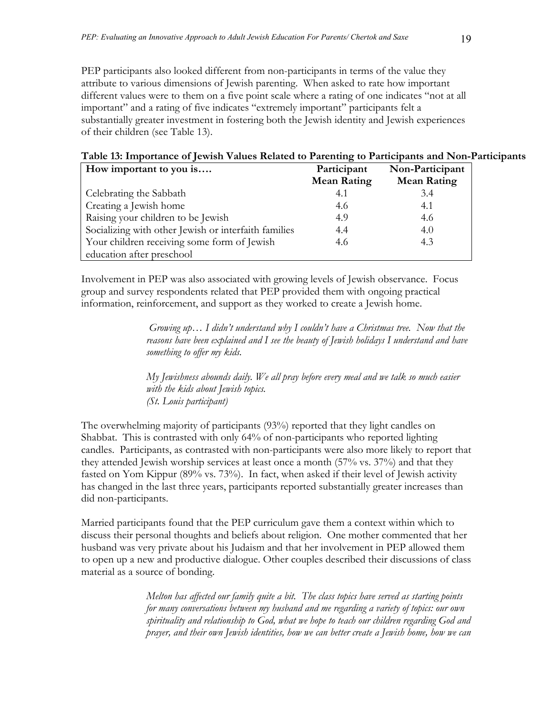PEP participants also looked different from non-participants in terms of the value they attribute to various dimensions of Jewish parenting. When asked to rate how important different values were to them on a five point scale where a rating of one indicates "not at all important" and a rating of five indicates "extremely important" participants felt a substantially greater investment in fostering both the Jewish identity and Jewish experiences of their children (see Table 13).

## **Table 13: Importance of Jewish Values Related to Parenting to Participants and Non-Participants**

| How important to you is                              | Participant        | Non-Participant    |
|------------------------------------------------------|--------------------|--------------------|
|                                                      | <b>Mean Rating</b> | <b>Mean Rating</b> |
| Celebrating the Sabbath                              | 4.1                | 3.4                |
| Creating a Jewish home                               | 4.6                | 4.1                |
| Raising your children to be Jewish                   | 4.9                | 4.6                |
| Socializing with other Jewish or interfaith families | 4.4                | 4()                |
| Your children receiving some form of Jewish          | 4.6                | 4.3                |
| education after preschool                            |                    |                    |

Involvement in PEP was also associated with growing levels of Jewish observance. Focus group and survey respondents related that PEP provided them with ongoing practical information, reinforcement, and support as they worked to create a Jewish home.

> *Growing up… I didn't understand why I couldn't have a Christmas tree. Now that the reasons have been explained and I see the beauty of Jewish holidays I understand and have something to offer my kids.*

*My Jewishness abounds daily. We all pray before every meal and we talk so much easier with the kids about Jewish topics. (St. Louis participant)* 

The overwhelming majority of participants (93%) reported that they light candles on Shabbat. This is contrasted with only 64% of non-participants who reported lighting candles. Participants, as contrasted with non-participants were also more likely to report that they attended Jewish worship services at least once a month (57% vs. 37%) and that they fasted on Yom Kippur (89% vs. 73%). In fact, when asked if their level of Jewish activity has changed in the last three years, participants reported substantially greater increases than did non-participants.

Married participants found that the PEP curriculum gave them a context within which to discuss their personal thoughts and beliefs about religion. One mother commented that her husband was very private about his Judaism and that her involvement in PEP allowed them to open up a new and productive dialogue. Other couples described their discussions of class material as a source of bonding.

> *Melton has affected our family quite a bit. The class topics have served as starting points for many conversations between my husband and me regarding a variety of topics: our own spirituality and relationship to God, what we hope to teach our children regarding God and prayer, and their own Jewish identities, how we can better create a Jewish home, how we can*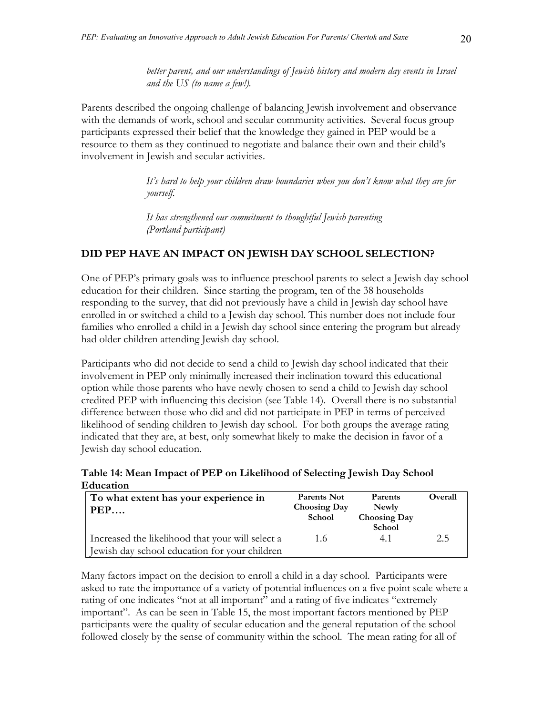*better parent, and our understandings of Jewish history and modern day events in Israel and the US (to name a few!).* 

Parents described the ongoing challenge of balancing Jewish involvement and observance with the demands of work, school and secular community activities. Several focus group participants expressed their belief that the knowledge they gained in PEP would be a resource to them as they continued to negotiate and balance their own and their child's involvement in Jewish and secular activities.

> *It's hard to help your children draw boundaries when you don't know what they are for yourself.*

*It has strengthened our commitment to thoughtful Jewish parenting (Portland participant)* 

# **DID PEP HAVE AN IMPACT ON JEWISH DAY SCHOOL SELECTION?**

One of PEP's primary goals was to influence preschool parents to select a Jewish day school education for their children. Since starting the program, ten of the 38 households responding to the survey, that did not previously have a child in Jewish day school have enrolled in or switched a child to a Jewish day school. This number does not include four families who enrolled a child in a Jewish day school since entering the program but already had older children attending Jewish day school.

Participants who did not decide to send a child to Jewish day school indicated that their involvement in PEP only minimally increased their inclination toward this educational option while those parents who have newly chosen to send a child to Jewish day school credited PEP with influencing this decision (see Table 14). Overall there is no substantial difference between those who did and did not participate in PEP in terms of perceived likelihood of sending children to Jewish day school. For both groups the average rating indicated that they are, at best, only somewhat likely to make the decision in favor of a Jewish day school education.

**Table 14: Mean Impact of PEP on Likelihood of Selecting Jewish Day School Education** 

| To what extent has your experience in<br>PEP                                                      | Parents Not<br><b>Choosing Day</b><br>School | Parents<br>Newly<br><b>Choosing Day</b><br>School | Overall |
|---------------------------------------------------------------------------------------------------|----------------------------------------------|---------------------------------------------------|---------|
| Increased the likelihood that your will select a<br>Jewish day school education for your children | 1.6                                          | 41                                                | 2.5     |

Many factors impact on the decision to enroll a child in a day school. Participants were asked to rate the importance of a variety of potential influences on a five point scale where a rating of one indicates "not at all important" and a rating of five indicates "extremely important". As can be seen in Table 15, the most important factors mentioned by PEP participants were the quality of secular education and the general reputation of the school followed closely by the sense of community within the school. The mean rating for all of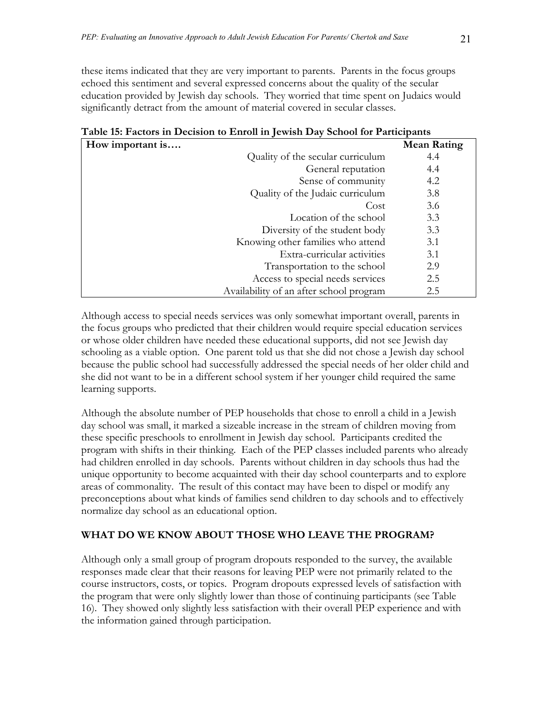these items indicated that they are very important to parents. Parents in the focus groups echoed this sentiment and several expressed concerns about the quality of the secular education provided by Jewish day schools. They worried that time spent on Judaics would significantly detract from the amount of material covered in secular classes.

| How important is |                                         | <b>Mean Rating</b> |
|------------------|-----------------------------------------|--------------------|
|                  | Quality of the secular curriculum       | 4.4                |
|                  | General reputation                      | 4.4                |
|                  | Sense of community                      | 4.2                |
|                  | Quality of the Judaic curriculum        | 3.8                |
|                  | Cost                                    | 3.6                |
|                  | Location of the school                  | 3.3                |
|                  | Diversity of the student body           | 3.3                |
|                  | Knowing other families who attend       | 3.1                |
|                  | Extra-curricular activities             | 3.1                |
|                  | Transportation to the school            | 2.9                |
|                  | Access to special needs services        | 2.5                |
|                  | Availability of an after school program | 2.5                |

# **Table 15: Factors in Decision to Enroll in Jewish Day School for Participants**

Although access to special needs services was only somewhat important overall, parents in the focus groups who predicted that their children would require special education services or whose older children have needed these educational supports, did not see Jewish day schooling as a viable option. One parent told us that she did not chose a Jewish day school because the public school had successfully addressed the special needs of her older child and she did not want to be in a different school system if her younger child required the same learning supports.

Although the absolute number of PEP households that chose to enroll a child in a Jewish day school was small, it marked a sizeable increase in the stream of children moving from these specific preschools to enrollment in Jewish day school. Participants credited the program with shifts in their thinking. Each of the PEP classes included parents who already had children enrolled in day schools. Parents without children in day schools thus had the unique opportunity to become acquainted with their day school counterparts and to explore areas of commonality. The result of this contact may have been to dispel or modify any preconceptions about what kinds of families send children to day schools and to effectively normalize day school as an educational option.

# **WHAT DO WE KNOW ABOUT THOSE WHO LEAVE THE PROGRAM?**

Although only a small group of program dropouts responded to the survey, the available responses made clear that their reasons for leaving PEP were not primarily related to the course instructors, costs, or topics. Program dropouts expressed levels of satisfaction with the program that were only slightly lower than those of continuing participants (see Table 16). They showed only slightly less satisfaction with their overall PEP experience and with the information gained through participation.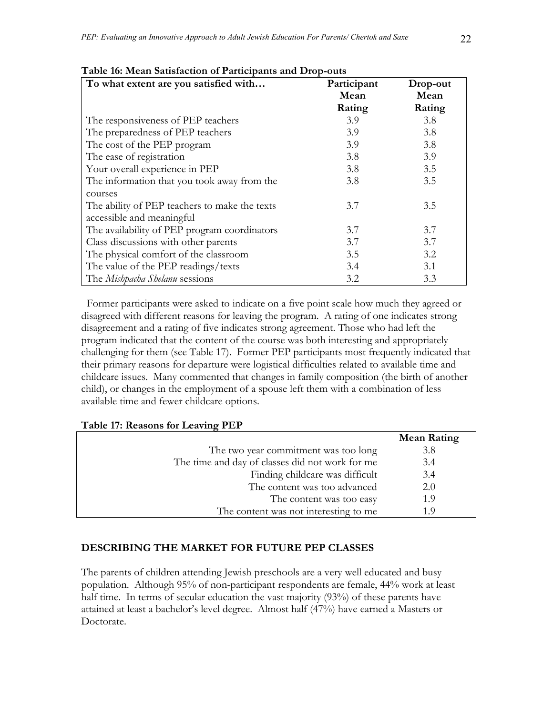| To what extent are you satisfied with         | Participant<br>Mean | Drop-out<br>Mean |
|-----------------------------------------------|---------------------|------------------|
|                                               | Rating              | Rating           |
| The responsiveness of PEP teachers            | 3.9                 | 3.8              |
| The preparedness of PEP teachers              | 3.9                 | 3.8              |
| The cost of the PEP program                   | 3.9                 | 3.8              |
| The ease of registration                      | 3.8                 | 3.9              |
| Your overall experience in PEP                | 3.8                 | 3.5              |
| The information that you took away from the   | 3.8                 | 3.5              |
| courses                                       |                     |                  |
| The ability of PEP teachers to make the texts | 3.7                 | 3.5              |
| accessible and meaningful                     |                     |                  |
| The availability of PEP program coordinators  | 3.7                 | 3.7              |
| Class discussions with other parents          | 3.7                 | 3.7              |
| The physical comfort of the classroom         | 3.5                 | 3.2              |
| The value of the PEP readings/texts           | 3.4                 | 3.1              |
| The Mishpacha Shelanu sessions                | 3.2                 | 3.3              |

#### **Table 16: Mean Satisfaction of Participants and Drop-outs**

 Former participants were asked to indicate on a five point scale how much they agreed or disagreed with different reasons for leaving the program. A rating of one indicates strong disagreement and a rating of five indicates strong agreement. Those who had left the program indicated that the content of the course was both interesting and appropriately challenging for them (see Table 17). Former PEP participants most frequently indicated that their primary reasons for departure were logistical difficulties related to available time and childcare issues. Many commented that changes in family composition (the birth of another child), or changes in the employment of a spouse left them with a combination of less available time and fewer childcare options.

#### **Table 17: Reasons for Leaving PEP**

|                                                 | <b>Mean Rating</b> |
|-------------------------------------------------|--------------------|
| The two year commitment was too long            | 3.8                |
| The time and day of classes did not work for me | 3.4                |
| Finding childcare was difficult                 | 3.4                |
| The content was too advanced                    | 2.0                |
| The content was too easy                        | 1.9                |
| The content was not interesting to me           | 1 O                |

#### **DESCRIBING THE MARKET FOR FUTURE PEP CLASSES**

The parents of children attending Jewish preschools are a very well educated and busy population. Although 95% of non-participant respondents are female, 44% work at least half time. In terms of secular education the vast majority (93%) of these parents have attained at least a bachelor's level degree. Almost half (47%) have earned a Masters or Doctorate.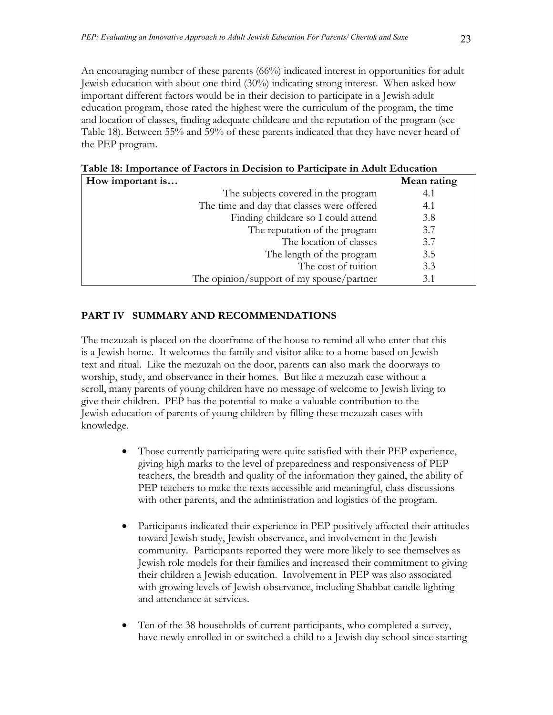An encouraging number of these parents (66%) indicated interest in opportunities for adult Jewish education with about one third (30%) indicating strong interest. When asked how important different factors would be in their decision to participate in a Jewish adult education program, those rated the highest were the curriculum of the program, the time and location of classes, finding adequate childcare and the reputation of the program (see Table 18). Between 55% and 59% of these parents indicated that they have never heard of the PEP program.

**How important is…** Mean rating **Mean rating** The subjects covered in the program 4.1 The time and day that classes were offered 4.1 Finding childcare so I could attend 3.8 The reputation of the program 3.7 The location of classes 3.7 The length of the program 3.5 The cost of tuition 3.3 The opinion/support of my spouse/partner 3.1

**Table 18: Importance of Factors in Decision to Participate in Adult Education** 

# **PART IV SUMMARY AND RECOMMENDATIONS**

The mezuzah is placed on the doorframe of the house to remind all who enter that this is a Jewish home. It welcomes the family and visitor alike to a home based on Jewish text and ritual. Like the mezuzah on the door, parents can also mark the doorways to worship, study, and observance in their homes. But like a mezuzah case without a scroll, many parents of young children have no message of welcome to Jewish living to give their children. PEP has the potential to make a valuable contribution to the Jewish education of parents of young children by filling these mezuzah cases with knowledge.

- Those currently participating were quite satisfied with their PEP experience, giving high marks to the level of preparedness and responsiveness of PEP teachers, the breadth and quality of the information they gained, the ability of PEP teachers to make the texts accessible and meaningful, class discussions with other parents, and the administration and logistics of the program.
- Participants indicated their experience in PEP positively affected their attitudes toward Jewish study, Jewish observance, and involvement in the Jewish community. Participants reported they were more likely to see themselves as Jewish role models for their families and increased their commitment to giving their children a Jewish education. Involvement in PEP was also associated with growing levels of Jewish observance, including Shabbat candle lighting and attendance at services.
- Ten of the 38 households of current participants, who completed a survey, have newly enrolled in or switched a child to a Jewish day school since starting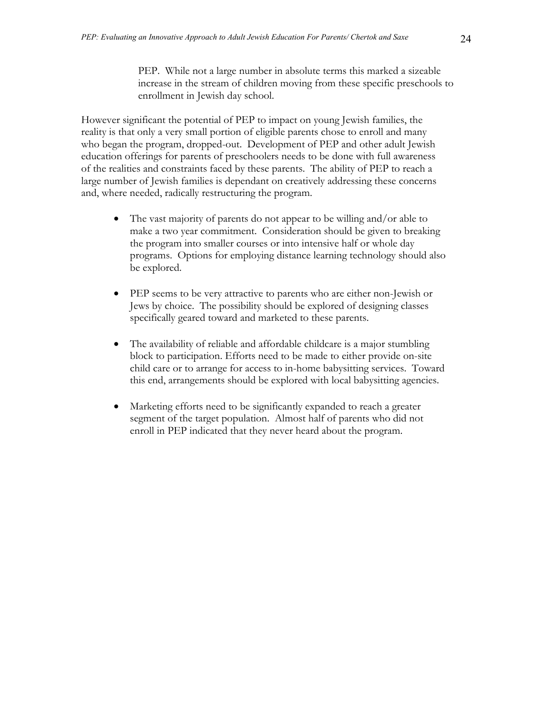PEP. While not a large number in absolute terms this marked a sizeable increase in the stream of children moving from these specific preschools to enrollment in Jewish day school.

However significant the potential of PEP to impact on young Jewish families, the reality is that only a very small portion of eligible parents chose to enroll and many who began the program, dropped-out. Development of PEP and other adult Jewish education offerings for parents of preschoolers needs to be done with full awareness of the realities and constraints faced by these parents. The ability of PEP to reach a large number of Jewish families is dependant on creatively addressing these concerns and, where needed, radically restructuring the program.

- The vast majority of parents do not appear to be willing and/or able to make a two year commitment. Consideration should be given to breaking the program into smaller courses or into intensive half or whole day programs. Options for employing distance learning technology should also be explored.
- PEP seems to be very attractive to parents who are either non-Jewish or Jews by choice. The possibility should be explored of designing classes specifically geared toward and marketed to these parents.
- The availability of reliable and affordable childcare is a major stumbling block to participation. Efforts need to be made to either provide on-site child care or to arrange for access to in-home babysitting services. Toward this end, arrangements should be explored with local babysitting agencies.
- Marketing efforts need to be significantly expanded to reach a greater segment of the target population. Almost half of parents who did not enroll in PEP indicated that they never heard about the program.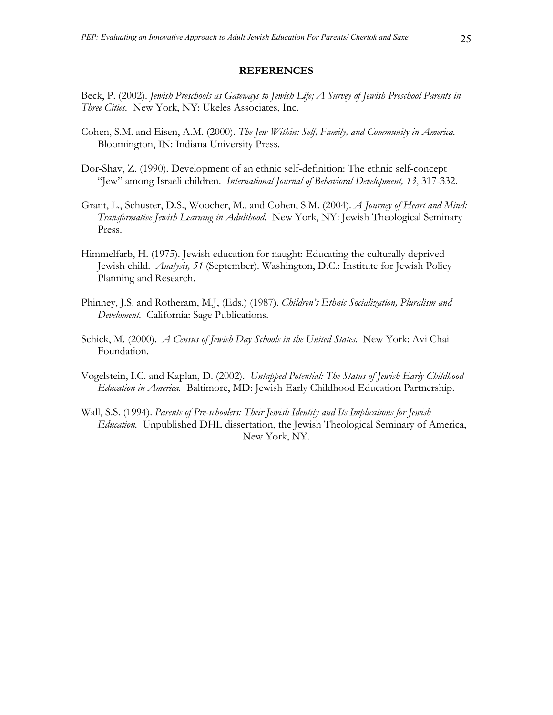#### **REFERENCES**

Beck, P. (2002). *Jewish Preschools as Gateways to Jewish Life; A Survey of Jewish Preschool Parents in Three Cities.* New York, NY: Ukeles Associates, Inc.

- Cohen, S.M. and Eisen, A.M. (2000). *The Jew Within: Self, Family, and Community in America.*  Bloomington, IN: Indiana University Press.
- Dor-Shav, Z. (1990). Development of an ethnic self-definition: The ethnic self-concept "Jew" among Israeli children. *International Journal of Behavioral Development, 13*, 317-332.
- Grant, L., Schuster, D.S., Woocher, M., and Cohen, S.M. (2004). *A Journey of Heart and Mind: Transformative Jewish Learning in Adulthood.* New York, NY: Jewish Theological Seminary Press.
- Himmelfarb, H. (1975). Jewish education for naught: Educating the culturally deprived Jewish child. *Analysis, 51* (September). Washington, D.C.: Institute for Jewish Policy Planning and Research.
- Phinney, J.S. and Rotheram, M.J, (Eds.) (1987). *Children's Ethnic Socialization, Pluralism and Develoment.* California: Sage Publications.
- Schick, M. (2000). *A Census of Jewish Day Schools in the United States.* New York: Avi Chai Foundation.
- Vogelstein, I.C. and Kaplan, D. (2002). *Untapped Potential: The Status of Jewish Early Childhood Education in America.* Baltimore, MD: Jewish Early Childhood Education Partnership.
- Wall, S.S. (1994). *Parents of Pre-schoolers: Their Jewish Identity and Its Implications for Jewish Education.* Unpublished DHL dissertation, the Jewish Theological Seminary of America, New York, NY.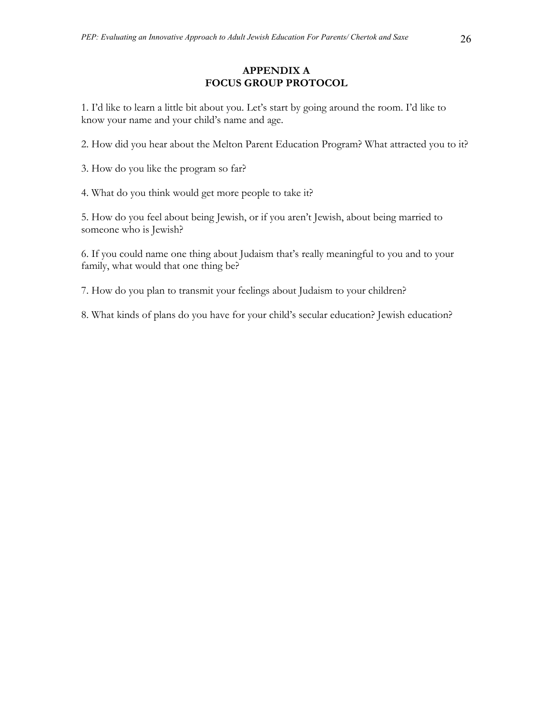# **APPENDIX A FOCUS GROUP PROTOCOL**

1. I'd like to learn a little bit about you. Let's start by going around the room. I'd like to know your name and your child's name and age.

2. How did you hear about the Melton Parent Education Program? What attracted you to it?

3. How do you like the program so far?

4. What do you think would get more people to take it?

5. How do you feel about being Jewish, or if you aren't Jewish, about being married to someone who is Jewish?

6. If you could name one thing about Judaism that's really meaningful to you and to your family, what would that one thing be?

7. How do you plan to transmit your feelings about Judaism to your children?

8. What kinds of plans do you have for your child's secular education? Jewish education?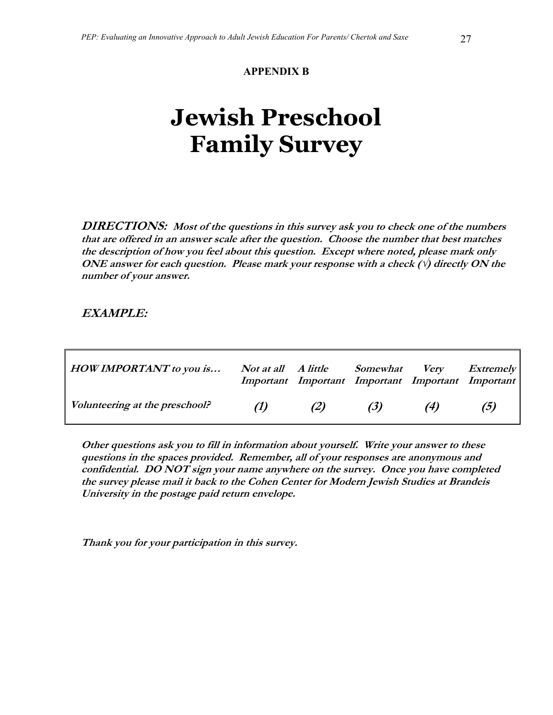# **APPENDIX B**

# **Jewish Preschool Family Survey**

**DIRECTIONS: Most of the questions in this survey ask you to check one of the numbers that are offered in an answer scale after the question. Choose the number that best matches the description of how you feel about this question. Except where noted, please mark only**  ONE answer for each question. Please mark your response with a check  $(\sqrt{r})$  directly ON the **number of your answer.** 

# **EXAMPLE:**

| HOW IMPORTANT to you is        | Not at all A little Somewhat |     | Very<br>Important Important Important Important Important | <i>Extremely</i> |
|--------------------------------|------------------------------|-----|-----------------------------------------------------------|------------------|
| Volunteering at the preschool? | (2)                          | (3) | (4)                                                       | (5)              |

**Other questions ask you to fill in information about yourself. Write your answer to these questions in the spaces provided. Remember, all of your responses are anonymous and confidential. DO NOT sign your name anywhere on the survey. Once you have completed the survey please mail it back to the Cohen Center for Modern Jewish Studies at Brandeis University in the postage paid return envelope.** 

**Thank you for your participation in this survey.**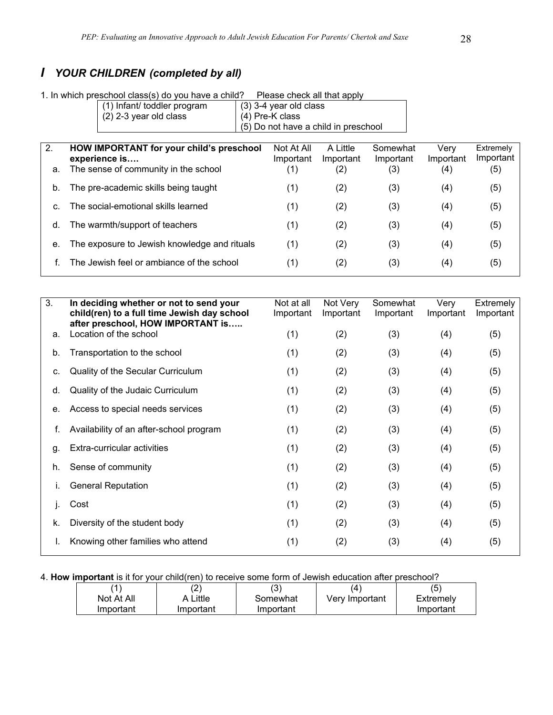# *I YOUR CHILDREN (completed by all)*

|    | 1. In which preschool class(s) do you have a child?<br>Please check all that apply |  |                          |                                      |           |           |           |
|----|------------------------------------------------------------------------------------|--|--------------------------|--------------------------------------|-----------|-----------|-----------|
|    | (1) Infant/ toddler program                                                        |  | $(3)$ 3-4 year old class |                                      |           |           |           |
|    | $(2)$ 2-3 year old class                                                           |  | (4) Pre-K class          |                                      |           |           |           |
|    |                                                                                    |  |                          | (5) Do not have a child in preschool |           |           |           |
|    |                                                                                    |  |                          |                                      |           |           |           |
| 2. | HOW IMPORTANT for your child's preschool                                           |  | Not At All               | A Little                             | Somewhat  | Very      | Extremely |
|    | experience is                                                                      |  | Important                | Important                            | Important | Important | Important |
| a. | The sense of community in the school                                               |  | (1)                      | (2)                                  | (3)       | (4)       | (5)       |
|    |                                                                                    |  |                          |                                      |           |           |           |
| b. | The pre-academic skills being taught                                               |  | (1)                      | (2)                                  | (3)       | (4)       | (5)       |
| C. | The social-emotional skills learned                                                |  | (1)                      | (2)                                  | (3)       | (4)       | (5)       |
|    |                                                                                    |  |                          |                                      |           |           |           |
| d. | The warmth/support of teachers                                                     |  | (1)                      | (2)                                  | (3)       | (4)       | (5)       |
|    |                                                                                    |  |                          |                                      |           |           |           |
| е. | The exposure to Jewish knowledge and rituals                                       |  | (1)                      | (2)                                  | (3)       | (4)       | (5)       |
|    |                                                                                    |  |                          |                                      |           |           |           |
|    | The Jewish feel or ambiance of the school                                          |  | (1)                      | (2)                                  | (3)       | (4)       | (5)       |
|    |                                                                                    |  |                          |                                      |           |           |           |

3. **In deciding whether or not to send your child(ren) to a full time Jewish day school after preschool, HOW IMPORTANT is…..**  Not at all Important Not Very Important Somewhat Important Very Important Extremely Important a. Location of the school  $(1)$   $(2)$   $(3)$   $(4)$   $(5)$ b. Transportation to the school (1) (2) (3) (4) (5) c. Quality of the Secular Curriculum (1) (2) (3) (4) (5) d. Quality of the Judaic Curriculum (1) (2) (3) (4) (5) e. Access to special needs services (1) (2) (3) (4) (5) f. Availability of an after-school program (1) (2) (3) (4) (5) g. Extra-curricular activities (1) (2) (3) (4) (5) h. Sense of community (1) (2) (3) (4) (5) i. General Reputation (1) (2) (3) (4) (5) j. Cost (1) (2) (3) (4) (5) k. Diversity of the student body  $(1)$   $(2)$   $(3)$   $(4)$   $(5)$ l. Knowing other families who attend (1) (2) (3) (4) (5)

#### 4. **How important** is it for your child(ren) to receive some form of Jewish education after preschool?

|            |           | າລ<br>ں ، |                | (5        |
|------------|-----------|-----------|----------------|-----------|
| Not At All | 、Little   | Somewhat  | Very Important | Extremely |
| Important  | Important | Important |                | Important |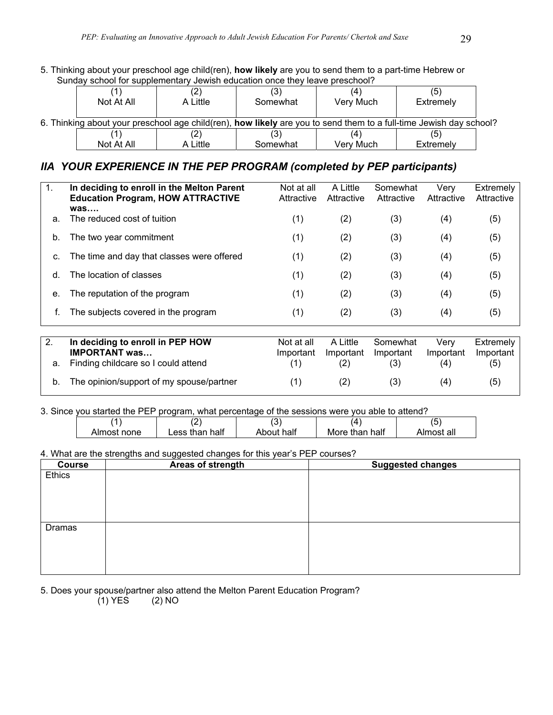5. Thinking about your preschool age child(ren), **how likely** are you to send them to a part-time Hebrew or Sunday school for supplementary Jewish education once they leave preschool?

| Not At All | $\sim$<br>A Little | ( ت<br>Somewhat | Very Much | (၁၂<br>Extremely                                                                                                          |  |
|------------|--------------------|-----------------|-----------|---------------------------------------------------------------------------------------------------------------------------|--|
|            |                    |                 |           | 6. Thinking about your preschool age child(ren), <b>how likely</b> are you to send them to a full-time Jewish day school? |  |
|            |                    |                 |           | (5                                                                                                                        |  |
| Not At All | A Little           | Somewhat        | Verv Much | Extremely                                                                                                                 |  |

# *IIA YOUR EXPERIENCE IN THE PEP PROGRAM (completed by PEP participants)*

| 1. | In deciding to enroll in the Melton Parent<br><b>Education Program, HOW ATTRACTIVE</b><br>was | Not at all<br>Attractive | A Little<br>Attractive | Somewhat<br>Attractive | Verv<br>Attractive | Extremely<br>Attractive |
|----|-----------------------------------------------------------------------------------------------|--------------------------|------------------------|------------------------|--------------------|-------------------------|
| a. | The reduced cost of tuition                                                                   | (1)                      | (2)                    | (3)                    | (4)                | (5)                     |
| b. | The two year commitment                                                                       | (1)                      | (2)                    | (3)                    | (4)                | (5)                     |
| C. | The time and day that classes were offered                                                    | (1)                      | (2)                    | (3)                    | (4)                | (5)                     |
| d. | The location of classes                                                                       | (1)                      | (2)                    | (3)                    | (4)                | (5)                     |
| е. | The reputation of the program                                                                 | (1)                      | (2)                    | (3)                    | (4)                | (5)                     |
|    | The subjects covered in the program                                                           | (1)                      | (2)                    | (3)                    | (4)                | (5)                     |

| a. | In deciding to enroll in PEP HOW<br><b>IMPORTANT was</b><br>Finding childcare so I could attend | Not at all<br>Important | A Little<br>Important | Somewhat<br>Important<br>(3) | Verv<br>Important | Extremely<br>Important<br>(5) |
|----|-------------------------------------------------------------------------------------------------|-------------------------|-----------------------|------------------------------|-------------------|-------------------------------|
|    | The opinion/support of my spouse/partner                                                        |                         | (2)                   | (3)                          | (4)               | (5)                           |

#### 3. Since you started the PEP program, what percentage of the sessions were you able to attend?

| -- |             | ומוועצות עו שושת פיט עוני עוני שוער שוער עס שעוניים שתיערונויוניוניוניוני ווייש שושר |            |                |            |
|----|-------------|--------------------------------------------------------------------------------------|------------|----------------|------------|
|    |             |                                                                                      | . ب        | 14             |            |
|    | Almost none | _ess than half                                                                       | About half | More than half | Almost all |

#### 4. What are the strengths and suggested changes for this year's PEP courses?

| <b>Course</b> | - -<br>Areas of strength | <b>Suggested changes</b> |
|---------------|--------------------------|--------------------------|
| Ethics        |                          |                          |
|               |                          |                          |
|               |                          |                          |
|               |                          |                          |
|               |                          |                          |
| Dramas        |                          |                          |
|               |                          |                          |
|               |                          |                          |
|               |                          |                          |
|               |                          |                          |

5. Does your spouse/partner also attend the Melton Parent Education Program?

 $(1)$  YES  $(2)$  NO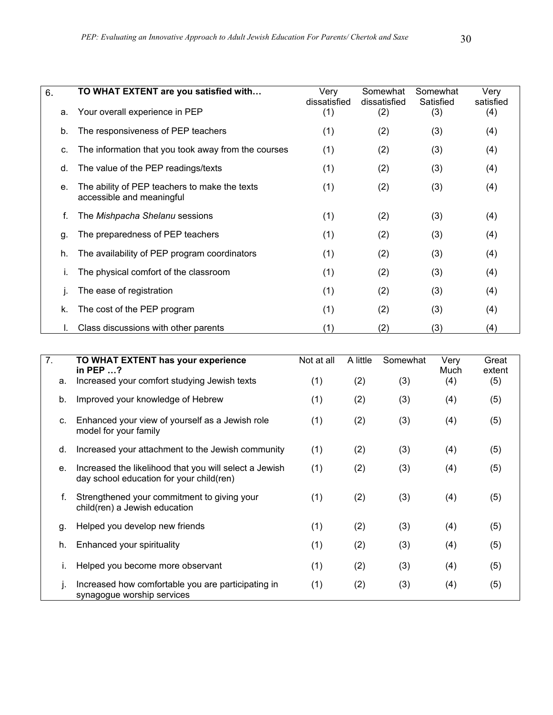| 6.<br>a. | TO WHAT EXTENT are you satisfied with<br>Your overall experience in PEP    | Very<br>dissatisfied<br>(1) | Somewhat<br>dissatisfied<br>(2) | Somewhat<br>Satisfied<br>(3) | Very<br>satisfied<br>(4) |
|----------|----------------------------------------------------------------------------|-----------------------------|---------------------------------|------------------------------|--------------------------|
| b.       | The responsiveness of PEP teachers                                         | (1)                         | (2)                             | (3)                          | (4)                      |
| C.       | The information that you took away from the courses                        | (1)                         | (2)                             | (3)                          | (4)                      |
| d.       | The value of the PEP readings/texts                                        | (1)                         | (2)                             | (3)                          | (4)                      |
| е.       | The ability of PEP teachers to make the texts<br>accessible and meaningful | (1)                         | (2)                             | (3)                          | (4)                      |
|          | The Mishpacha Shelanu sessions                                             | (1)                         | (2)                             | (3)                          | (4)                      |
| g.       | The preparedness of PEP teachers                                           | (1)                         | (2)                             | (3)                          | (4)                      |
| h.       | The availability of PEP program coordinators                               | (1)                         | (2)                             | (3)                          | (4)                      |
| Ι.       | The physical comfort of the classroom                                      | (1)                         | (2)                             | (3)                          | (4)                      |
|          | The ease of registration                                                   | (1)                         | (2)                             | (3)                          | (4)                      |
| k.       | The cost of the PEP program                                                | (1)                         | (2)                             | (3)                          | (4)                      |
|          | Class discussions with other parents                                       | (1)                         | (2)                             | (3)                          | (4)                      |

| $\overline{7}$ . | TO WHAT EXTENT has your experience<br>in PEP $\dots$ ?                                             | Not at all | A little | Somewhat | Very<br>Much | Great<br>extent |
|------------------|----------------------------------------------------------------------------------------------------|------------|----------|----------|--------------|-----------------|
| a.               | Increased your comfort studying Jewish texts                                                       | (1)        | (2)      | (3)      | (4)          | (5)             |
| b.               | Improved your knowledge of Hebrew                                                                  | (1)        | (2)      | (3)      | (4)          | (5)             |
| C.               | Enhanced your view of yourself as a Jewish role<br>model for your family                           | (1)        | (2)      | (3)      | (4)          | (5)             |
| d.               | Increased your attachment to the Jewish community                                                  | (1)        | (2)      | (3)      | (4)          | (5)             |
| е.               | Increased the likelihood that you will select a Jewish<br>day school education for your child(ren) | (1)        | (2)      | (3)      | (4)          | (5)             |
| f.               | Strengthened your commitment to giving your<br>child(ren) a Jewish education                       | (1)        | (2)      | (3)      | (4)          | (5)             |
| g.               | Helped you develop new friends                                                                     | (1)        | (2)      | (3)      | (4)          | (5)             |
| h.               | Enhanced your spirituality                                                                         | (1)        | (2)      | (3)      | (4)          | (5)             |
|                  | Helped you become more observant                                                                   | (1)        | (2)      | (3)      | (4)          | (5)             |
|                  | Increased how comfortable you are participating in<br>synagogue worship services                   | (1)        | (2)      | (3)      | (4)          | (5)             |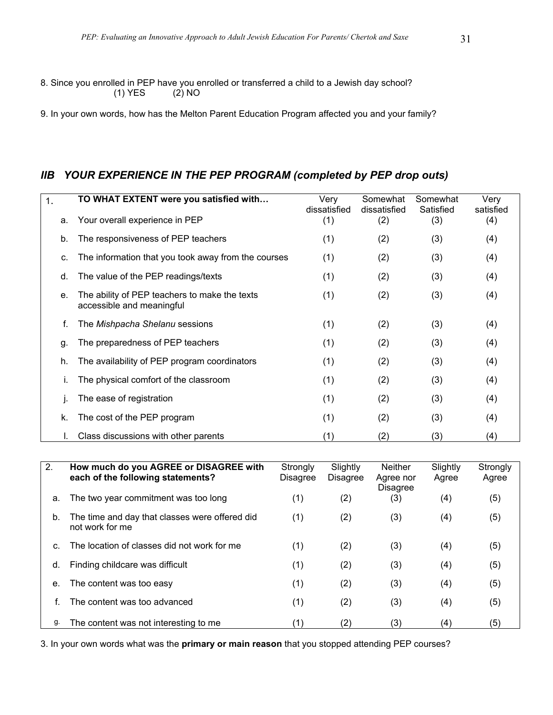8. Since you enrolled in PEP have you enrolled or transferred a child to a Jewish day school? (1) YES (2) NO

9. In your own words, how has the Melton Parent Education Program affected you and your family?

# *IIB YOUR EXPERIENCE IN THE PEP PROGRAM (completed by PEP drop outs)*

| $\mathbf 1$ . | TO WHAT EXTENT were you satisfied with                                     | Very<br>dissatisfied | Somewhat<br>dissatisfied | Somewhat<br>Satisfied | Very<br>satisfied |
|---------------|----------------------------------------------------------------------------|----------------------|--------------------------|-----------------------|-------------------|
| a.            | Your overall experience in PEP                                             | (1)                  | (2)                      | (3)                   | (4)               |
| b.            | The responsiveness of PEP teachers                                         | (1)                  | (2)                      | (3)                   | (4)               |
| C.            | The information that you took away from the courses                        | (1)                  | (2)                      | (3)                   | (4)               |
| d.            | The value of the PEP readings/texts                                        | (1)                  | (2)                      | (3)                   | (4)               |
| e.            | The ability of PEP teachers to make the texts<br>accessible and meaningful | (1)                  | (2)                      | (3)                   | (4)               |
| f.            | The Mishpacha Shelanu sessions                                             | (1)                  | (2)                      | (3)                   | (4)               |
| g.            | The preparedness of PEP teachers                                           | (1)                  | (2)                      | (3)                   | (4)               |
| h.            | The availability of PEP program coordinators                               | (1)                  | (2)                      | (3)                   | (4)               |
|               | The physical comfort of the classroom                                      | (1)                  | (2)                      | (3)                   | (4)               |
|               | The ease of registration                                                   | (1)                  | (2)                      | (3)                   | (4)               |
| k.            | The cost of the PEP program                                                | (1)                  | (2)                      | (3)                   | (4)               |
|               | Class discussions with other parents                                       | (1)                  | (2)                      | (3)                   | (4)               |

| 2. | How much do you AGREE or DISAGREE with<br>each of the following statements? | Strongly<br><b>Disagree</b> | Slightly<br><b>Disagree</b> | <b>Neither</b><br>Agree nor<br>Disagree | Slightly<br>Agree | Strongly<br>Agree |
|----|-----------------------------------------------------------------------------|-----------------------------|-----------------------------|-----------------------------------------|-------------------|-------------------|
| а. | The two year commitment was too long                                        | (1)                         | (2)                         | (3)                                     | (4)               | (5)               |
| b. | The time and day that classes were offered did<br>not work for me           | (1)                         | (2)                         | (3)                                     | (4)               | (5)               |
| C. | The location of classes did not work for me                                 | (1)                         | (2)                         | (3)                                     | (4)               | (5)               |
| d. | Finding childcare was difficult                                             | (1)                         | (2)                         | (3)                                     | (4)               | (5)               |
| е. | The content was too easy                                                    | (1)                         | (2)                         | (3)                                     | (4)               | (5)               |
|    | The content was too advanced                                                | (1)                         | (2)                         | (3)                                     | (4)               | (5)               |
| g. | The content was not interesting to me                                       | (1)                         | (2)                         | (3)                                     | (4)               | (5)               |

3. In your own words what was the **primary or main reason** that you stopped attending PEP courses?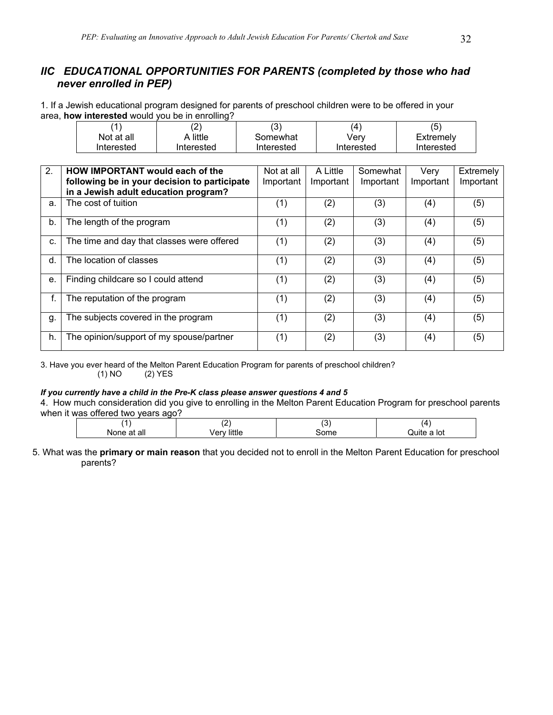# *IIC EDUCATIONAL OPPORTUNITIES FOR PARENTS (completed by those who had never enrolled in PEP)*

1. If a Jewish educational program designed for parents of preschool children were to be offered in your area, **how interested** would you be in enrolling?

|            | (2         | د.         | (4)        | (5)        |
|------------|------------|------------|------------|------------|
| Not at all | A little   | Somewhat   | Verv       | Extremely  |
| Interested | Interested | Interested | Interested | Interested |

| 2 <sub>1</sub> | <b>HOW IMPORTANT would each of the</b>       | Not at all | A Little  | Somewhat  | Very      | Extremely |
|----------------|----------------------------------------------|------------|-----------|-----------|-----------|-----------|
|                | following be in your decision to participate | Important  | Important | Important | Important | Important |
|                | in a Jewish adult education program?         |            |           |           |           |           |
| a.             | The cost of tuition                          | (1)        | (2)       | (3)       | (4)       | (5)       |
| b.             | The length of the program                    | (1)        | (2)       | (3)       | (4)       | (5)       |
| C.             | The time and day that classes were offered   | (1)        | (2)       | (3)       | (4)       | (5)       |
| d.             | The location of classes                      | (1)        | (2)       | (3)       | (4)       | (5)       |
| е.             | Finding childcare so I could attend          | (1)        | (2)       | (3)       | (4)       | (5)       |
| f.             | The reputation of the program                | (1)        | (2)       | (3)       | (4)       | (5)       |
| g.             | The subjects covered in the program          | (1)        | (2)       | (3)       | (4)       | (5)       |
| h.             | The opinion/support of my spouse/partner     | (1)        | (2)       | (3)       | (4)       | (5)       |

3. Have you ever heard of the Melton Parent Education Program for parents of preschool children? (1) NO (2) YES

#### *If you currently have a child in the Pre-K class please answer questions 4 and 5*

4. How much consideration did you give to enrolling in the Melton Parent Education Program for preschool parents when it was offered two years ago?

|                             | $\sqrt{2}$<br>. | $\tilde{\phantom{a}}$<br>. ب | д       |
|-----------------------------|-----------------|------------------------------|---------|
| all<br>IΝO<br>me<br>dι<br>. | <br>чc.         | .<br>лпе                     | lot<br> |
|                             |                 |                              |         |

<sup>5.</sup> What was the **primary or main reason** that you decided not to enroll in the Melton Parent Education for preschool parents?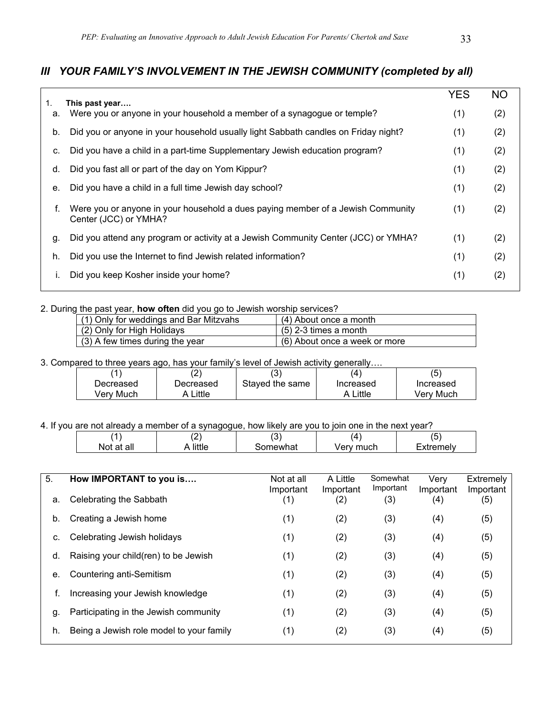# *III YOUR FAMILY'S INVOLVEMENT IN THE JEWISH COMMUNITY (completed by all)*

| 1. | This past year                                                                                           | <b>YES</b> | <b>NO</b> |
|----|----------------------------------------------------------------------------------------------------------|------------|-----------|
| а. | Were you or anyone in your household a member of a synagogue or temple?                                  | (1)        | (2)       |
| b. | Did you or anyone in your household usually light Sabbath candles on Friday night?                       | (1)        | (2)       |
| C. | Did you have a child in a part-time Supplementary Jewish education program?                              | (1)        | (2)       |
| d. | Did you fast all or part of the day on Yom Kippur?                                                       | (1)        | (2)       |
| е. | Did you have a child in a full time Jewish day school?                                                   | (1)        | (2)       |
| f. | Were you or anyone in your household a dues paying member of a Jewish Community<br>Center (JCC) or YMHA? | (1)        | (2)       |
| g. | Did you attend any program or activity at a Jewish Community Center (JCC) or YMHA?                       | (1)        | (2)       |
| h. | Did you use the Internet to find Jewish related information?                                             | (1)        | (2)       |
|    | Did you keep Kosher inside your home?                                                                    | (1)        | (2)       |

#### 2. During the past year, **how often** did you go to Jewish worship services?

| (1) Only for weddings and Bar Mitzvahs | $(4)$ About once a month      |
|----------------------------------------|-------------------------------|
| (2) Only for High Holidays             | $(5)$ 2-3 times a month       |
| (3) A few times during the year        | (6) About once a week or more |

#### 3. Compared to three years ago, has your family's level of Jewish activity generally….

|           |           | ί3΄             |           | (5)       |
|-----------|-----------|-----------------|-----------|-----------|
| Decreased | Decreased | Staved the same | Increased | Increased |
| Verv Much | Little    |                 | A Little  | Verv Much |

#### 4. If you are not already a member of a synagogue, how likely are you to join one in the next year?

|            | . <u>.</u> | ັ      | Δ    | . .<br>∼       |
|------------|------------|--------|------|----------------|
| all        | 10441      | าewhat | much | malı.          |
| <b>NOT</b> | ле         |        | √er  | $\overline{ }$ |

| 5.<br>a. | How IMPORTANT to you is<br>Celebrating the Sabbath | Not at all<br>Important<br>(1) | A Little<br>Important<br>(2) | Somewhat<br>Important<br>(3) | Verv<br>Important<br>(4) | Extremely<br>Important<br>(5) |
|----------|----------------------------------------------------|--------------------------------|------------------------------|------------------------------|--------------------------|-------------------------------|
| b.       | Creating a Jewish home                             | (1)                            | (2)                          | (3)                          | (4)                      | (5)                           |
| c.       | Celebrating Jewish holidays                        | (1)                            | (2)                          | (3)                          | (4)                      | (5)                           |
| d.       | Raising your child(ren) to be Jewish               | (1)                            | (2)                          | (3)                          | (4)                      | (5)                           |
| е.       | Countering anti-Semitism                           | (1)                            | (2)                          | (3)                          | (4)                      | (5)                           |
| f.       | Increasing your Jewish knowledge                   | (1)                            | (2)                          | (3)                          | (4)                      | (5)                           |
| g.       | Participating in the Jewish community              | (1)                            | (2)                          | (3)                          | (4)                      | (5)                           |
| h.       | Being a Jewish role model to your family           | (1)                            | (2)                          | (3)                          | (4)                      | (5)                           |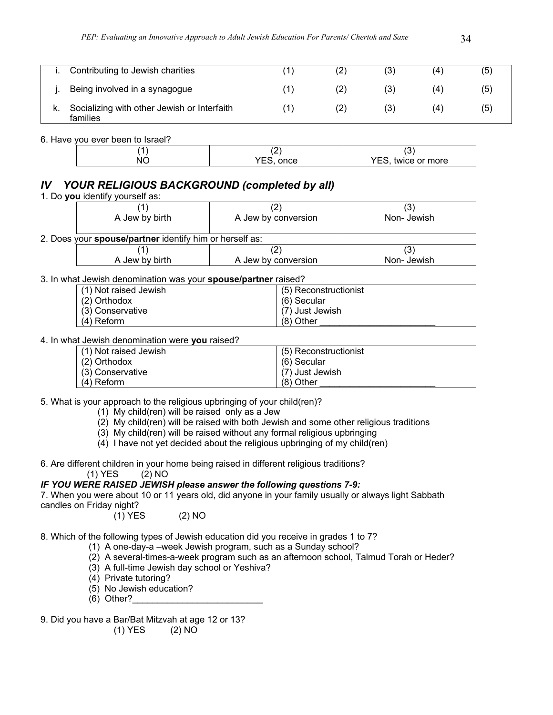| Contributing to Jewish charities                        | (2) | (3) | 4)  | (5) |
|---------------------------------------------------------|-----|-----|-----|-----|
| Being involved in a synagogue                           | (2) | (3) | (4) | (၁) |
| Socializing with other Jewish or Interfaith<br>families | (2) | (3) | (4) | (၁) |

6. Have you ever been to Israel?

| NC | once | ہ<br>∼<br>twice or more<br>'⊢: |
|----|------|--------------------------------|
|    |      |                                |

# *IV YOUR RELIGIOUS BACKGROUND (completed by all)*

| A Jew by birth                                                 | A Jew by conversion | Non-Jewish |
|----------------------------------------------------------------|---------------------|------------|
|                                                                |                     |            |
| 2. Does your <b>spouse/partner</b> identify him or herself as: |                     |            |
|                                                                |                     | 3)         |
| A Jew by birth                                                 | A Jew by conversion | Non-Jewish |

3. In what Jewish denomination was your **spouse/partner** raised?  $(1)$   $(1)$  Not raised  $\sim$  raised  $\sim$  1. (5) Reconstructionist

| T (T) NOLTAISED JEWISH | L (5) Reconstructionist |
|------------------------|-------------------------|
| (2) Orthodox           | (6) Secular             |
| (3) Conservative       | (7) Just Jewish         |
| (4) Reform             | $(8)$ Other             |

4. In what Jewish denomination were **you** raised?

| (1) Not raised Jewish | (5) Reconstructionist |
|-----------------------|-----------------------|
| (2) Orthodox          | (6) Secular           |
| (3) Conservative      | (7) Just Jewish       |
| (4) Reform            | $(8)$ Other           |

5. What is your approach to the religious upbringing of your child(ren)?

(1) My child(ren) will be raised only as a Jew

(2) My child(ren) will be raised with both Jewish and some other religious traditions

(3) My child(ren) will be raised without any formal religious upbringing

(4) I have not yet decided about the religious upbringing of my child(ren)

6. Are different children in your home being raised in different religious traditions?  $(1)$  YES  $(2)$  NO

# *IF YOU WERE RAISED JEWISH please answer the following questions 7-9:*

7. When you were about 10 or 11 years old, did anyone in your family usually or always light Sabbath candles on Friday night?

(1) YES (2) NO

8. Which of the following types of Jewish education did you receive in grades 1 to 7?

- (1) A one-day-a –week Jewish program, such as a Sunday school?
- (2) A several-times-a-week program such as an afternoon school, Talmud Torah or Heder?
- (3) A full-time Jewish day school or Yeshiva?
- (4) Private tutoring?
- (5) No Jewish education?
- (6) Other?\_\_\_\_\_\_\_\_\_\_\_\_\_\_\_\_\_\_\_\_\_\_\_\_\_\_
- 9. Did you have a Bar/Bat Mitzvah at age 12 or 13? (1) YES (2) NO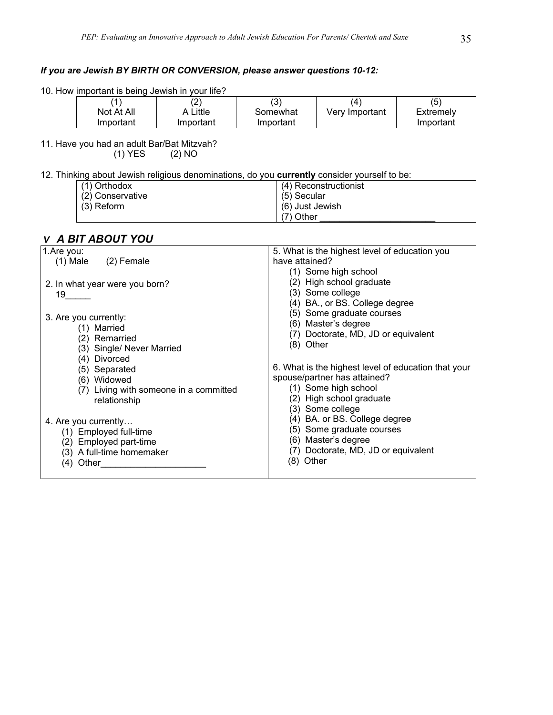## *If you are Jewish BY BIRTH OR CONVERSION, please answer questions 10-12:*

|  | 10. How important is being Jewish in your life? |  |  |  |
|--|-------------------------------------------------|--|--|--|
|  |                                                 |  |  |  |

| 1          |           | $\sim$<br>ں ا |                | (5)       |
|------------|-----------|---------------|----------------|-----------|
| Not At All | A Little  | Somewhat      | Very Important | Extremely |
| Important  | Important | Important     |                | Important |

11. Have you had an adult Bar/Bat Mitzvah?

 $(2)$  NO

# 12. Thinking about Jewish religious denominations, do you **currently** consider yourself to be:

| $(1)$ Orthodox   | (4) Reconstructionist |
|------------------|-----------------------|
| (2) Conservative | (5) Secular           |
| (3) Reform       | (6) Just Jewish       |
|                  | (7) Other             |

# *V A BIT ABOUT YOU*

| $(1)$ Male $(2)$ Female<br>have attained?<br>(1) Some high school<br>(2) High school graduate<br>2. In what year were you born?<br>(3) Some college<br>19 —<br>(4) BA., or BS. College degree<br>(5) Some graduate courses<br>3. Are you currently:<br>(6) Master's degree<br>(1) Married<br>(7) Doctorate, MD, JD or equivalent<br>(2) Remarried<br>(8) Other<br>(3) Single/ Never Married<br>(4) Divorced<br>6. What is the highest level of education that your<br>(5) Separated<br>spouse/partner has attained?<br>(6) Widowed<br>(1) Some high school<br>(7) Living with someone in a committed<br>(2) High school graduate<br>relationship<br>(3) Some college<br>(4) BA. or BS. College degree<br>4. Are you currently<br>(5) Some graduate courses<br>(1) Employed full-time<br>(6) Master's degree<br>(2) Employed part-time<br>(7) Doctorate, MD, JD or equivalent<br>(3) A full-time homemaker<br>(8) Other<br>$(4)$ Other | 1.Are you: | 5. What is the highest level of education you |
|---------------------------------------------------------------------------------------------------------------------------------------------------------------------------------------------------------------------------------------------------------------------------------------------------------------------------------------------------------------------------------------------------------------------------------------------------------------------------------------------------------------------------------------------------------------------------------------------------------------------------------------------------------------------------------------------------------------------------------------------------------------------------------------------------------------------------------------------------------------------------------------------------------------------------------------|------------|-----------------------------------------------|
|                                                                                                                                                                                                                                                                                                                                                                                                                                                                                                                                                                                                                                                                                                                                                                                                                                                                                                                                       |            |                                               |
|                                                                                                                                                                                                                                                                                                                                                                                                                                                                                                                                                                                                                                                                                                                                                                                                                                                                                                                                       |            |                                               |
|                                                                                                                                                                                                                                                                                                                                                                                                                                                                                                                                                                                                                                                                                                                                                                                                                                                                                                                                       |            |                                               |
|                                                                                                                                                                                                                                                                                                                                                                                                                                                                                                                                                                                                                                                                                                                                                                                                                                                                                                                                       |            |                                               |
|                                                                                                                                                                                                                                                                                                                                                                                                                                                                                                                                                                                                                                                                                                                                                                                                                                                                                                                                       |            |                                               |
|                                                                                                                                                                                                                                                                                                                                                                                                                                                                                                                                                                                                                                                                                                                                                                                                                                                                                                                                       |            |                                               |
|                                                                                                                                                                                                                                                                                                                                                                                                                                                                                                                                                                                                                                                                                                                                                                                                                                                                                                                                       |            |                                               |
|                                                                                                                                                                                                                                                                                                                                                                                                                                                                                                                                                                                                                                                                                                                                                                                                                                                                                                                                       |            |                                               |
|                                                                                                                                                                                                                                                                                                                                                                                                                                                                                                                                                                                                                                                                                                                                                                                                                                                                                                                                       |            |                                               |
|                                                                                                                                                                                                                                                                                                                                                                                                                                                                                                                                                                                                                                                                                                                                                                                                                                                                                                                                       |            |                                               |
|                                                                                                                                                                                                                                                                                                                                                                                                                                                                                                                                                                                                                                                                                                                                                                                                                                                                                                                                       |            |                                               |
|                                                                                                                                                                                                                                                                                                                                                                                                                                                                                                                                                                                                                                                                                                                                                                                                                                                                                                                                       |            |                                               |
|                                                                                                                                                                                                                                                                                                                                                                                                                                                                                                                                                                                                                                                                                                                                                                                                                                                                                                                                       |            |                                               |
|                                                                                                                                                                                                                                                                                                                                                                                                                                                                                                                                                                                                                                                                                                                                                                                                                                                                                                                                       |            |                                               |
|                                                                                                                                                                                                                                                                                                                                                                                                                                                                                                                                                                                                                                                                                                                                                                                                                                                                                                                                       |            |                                               |
|                                                                                                                                                                                                                                                                                                                                                                                                                                                                                                                                                                                                                                                                                                                                                                                                                                                                                                                                       |            |                                               |
|                                                                                                                                                                                                                                                                                                                                                                                                                                                                                                                                                                                                                                                                                                                                                                                                                                                                                                                                       |            |                                               |
|                                                                                                                                                                                                                                                                                                                                                                                                                                                                                                                                                                                                                                                                                                                                                                                                                                                                                                                                       |            |                                               |
|                                                                                                                                                                                                                                                                                                                                                                                                                                                                                                                                                                                                                                                                                                                                                                                                                                                                                                                                       |            |                                               |
|                                                                                                                                                                                                                                                                                                                                                                                                                                                                                                                                                                                                                                                                                                                                                                                                                                                                                                                                       |            |                                               |
|                                                                                                                                                                                                                                                                                                                                                                                                                                                                                                                                                                                                                                                                                                                                                                                                                                                                                                                                       |            |                                               |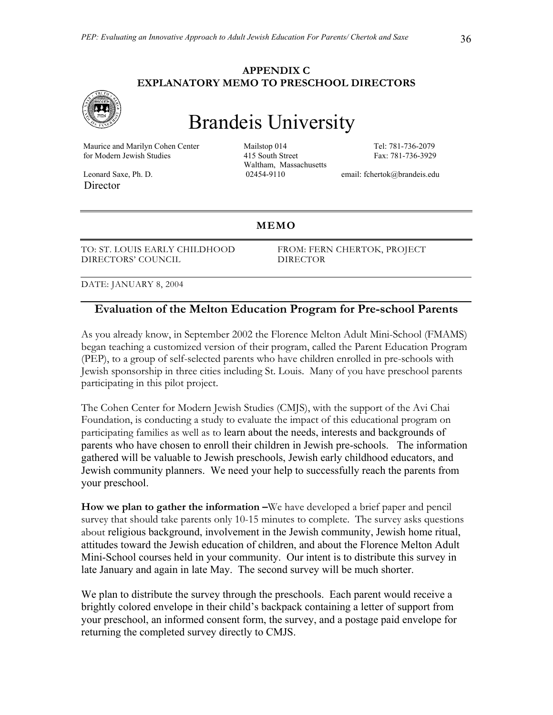#### **APPENDIX C EXPLANATORY MEMO TO PRESCHOOL DIRECTORS**



# Brandeis University

 Maurice and Marilyn Cohen Center Mailstop 014 Tel: 781-736-2079 for Modern Jewish Studies 415 South Street Fax: 781-736-3929

Director

Waltham, Massachusetts

Leonard Saxe, Ph. D. 02454-9110 email: fchertok@brandeis.edu

#### **MEMO**

TO: ST. LOUIS EARLY CHILDHOOD DIRECTORS' COUNCIL

 FROM: FERN CHERTOK, PROJECT DIRECTOR

DATE: JANUARY 8, 2004

# **Evaluation of the Melton Education Program for Pre-school Parents**

As you already know, in September 2002 the Florence Melton Adult Mini-School (FMAMS) began teaching a customized version of their program, called the Parent Education Program (PEP), to a group of self-selected parents who have children enrolled in pre-schools with Jewish sponsorship in three cities including St. Louis. Many of you have preschool parents participating in this pilot project.

The Cohen Center for Modern Jewish Studies (CMJS), with the support of the Avi Chai Foundation, is conducting a study to evaluate the impact of this educational program on participating families as well as to learn about the needs, interests and backgrounds of parents who have chosen to enroll their children in Jewish pre-schools. The information gathered will be valuable to Jewish preschools, Jewish early childhood educators, and Jewish community planners. We need your help to successfully reach the parents from your preschool.

**How we plan to gather the information –**We have developed a brief paper and pencil survey that should take parents only 10-15 minutes to complete. The survey asks questions about religious background, involvement in the Jewish community, Jewish home ritual, attitudes toward the Jewish education of children, and about the Florence Melton Adult Mini-School courses held in your community. Our intent is to distribute this survey in late January and again in late May. The second survey will be much shorter.

We plan to distribute the survey through the preschools. Each parent would receive a brightly colored envelope in their child's backpack containing a letter of support from your preschool, an informed consent form, the survey, and a postage paid envelope for returning the completed survey directly to CMJS.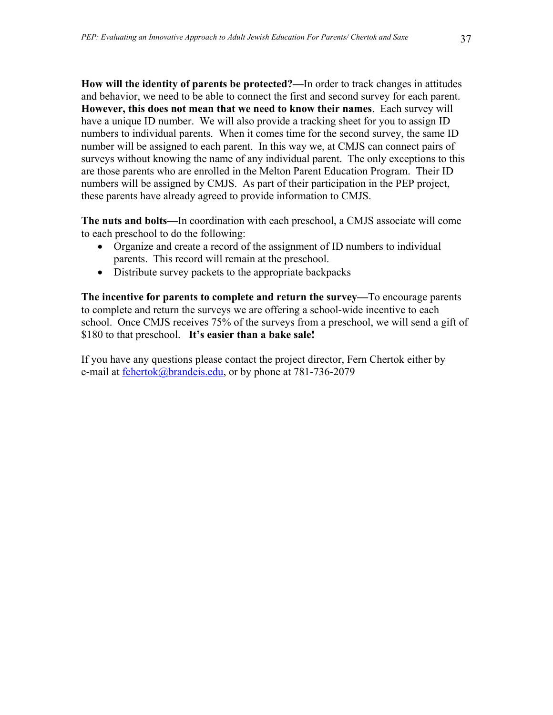**How will the identity of parents be protected?—**In order to track changes in attitudes and behavior, we need to be able to connect the first and second survey for each parent. **However, this does not mean that we need to know their names**. Each survey will have a unique ID number. We will also provide a tracking sheet for you to assign ID numbers to individual parents. When it comes time for the second survey, the same ID number will be assigned to each parent. In this way we, at CMJS can connect pairs of surveys without knowing the name of any individual parent. The only exceptions to this are those parents who are enrolled in the Melton Parent Education Program. Their ID numbers will be assigned by CMJS. As part of their participation in the PEP project, these parents have already agreed to provide information to CMJS.

**The nuts and bolts—**In coordination with each preschool, a CMJS associate will come to each preschool to do the following:

- Organize and create a record of the assignment of ID numbers to individual parents. This record will remain at the preschool.
- Distribute survey packets to the appropriate backpacks

**The incentive for parents to complete and return the survey—**To encourage parents to complete and return the surveys we are offering a school-wide incentive to each school. Once CMJS receives 75% of the surveys from a preschool, we will send a gift of \$180 to that preschool. **It's easier than a bake sale!** 

If you have any questions please contact the project director, Fern Chertok either by e-mail at fchertok@brandeis.edu, or by phone at 781-736-2079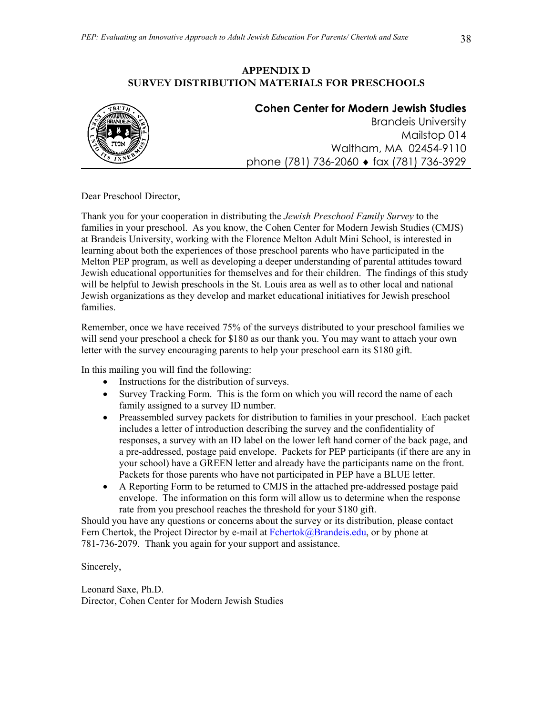## **APPENDIX D SURVEY DISTRIBUTION MATERIALS FOR PRESCHOOLS**



## **Cohen Center for Modern Jewish Studies**

Brandeis University Mailstop 014 Waltham, MA 02454-9110 phone (781) 736-2060 ♦ fax (781) 736-3929

Dear Preschool Director,

Thank you for your cooperation in distributing the *Jewish Preschool Family Survey* to the families in your preschool. As you know, the Cohen Center for Modern Jewish Studies (CMJS) at Brandeis University, working with the Florence Melton Adult Mini School, is interested in learning about both the experiences of those preschool parents who have participated in the Melton PEP program, as well as developing a deeper understanding of parental attitudes toward Jewish educational opportunities for themselves and for their children. The findings of this study will be helpful to Jewish preschools in the St. Louis area as well as to other local and national Jewish organizations as they develop and market educational initiatives for Jewish preschool families.

Remember, once we have received 75% of the surveys distributed to your preschool families we will send your preschool a check for \$180 as our thank you. You may want to attach your own letter with the survey encouraging parents to help your preschool earn its \$180 gift.

In this mailing you will find the following:

- Instructions for the distribution of surveys.
- Survey Tracking Form. This is the form on which you will record the name of each family assigned to a survey ID number.
- Preassembled survey packets for distribution to families in your preschool. Each packet includes a letter of introduction describing the survey and the confidentiality of responses, a survey with an ID label on the lower left hand corner of the back page, and a pre-addressed, postage paid envelope. Packets for PEP participants (if there are any in your school) have a GREEN letter and already have the participants name on the front. Packets for those parents who have not participated in PEP have a BLUE letter.
- A Reporting Form to be returned to CMJS in the attached pre-addressed postage paid envelope. The information on this form will allow us to determine when the response rate from you preschool reaches the threshold for your \$180 gift.

Should you have any questions or concerns about the survey or its distribution, please contact Fern Chertok, the Project Director by e-mail at Fchertok@Brandeis.edu, or by phone at 781-736-2079. Thank you again for your support and assistance.

Sincerely,

Leonard Saxe, Ph.D. Director, Cohen Center for Modern Jewish Studies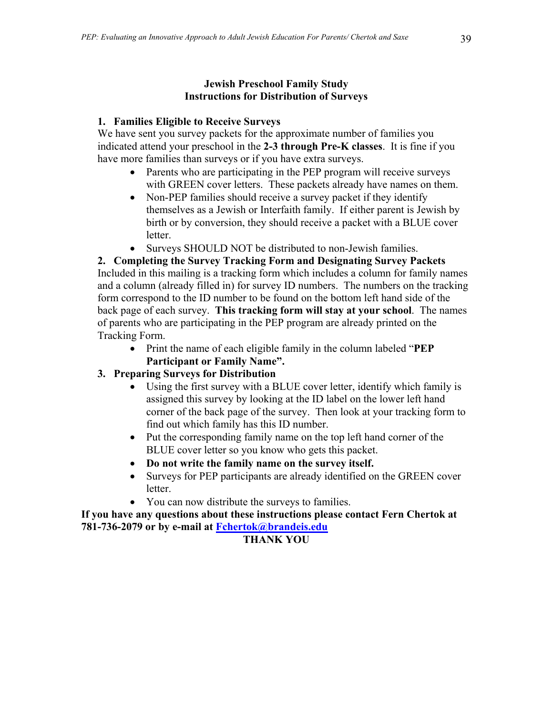# **1. Families Eligible to Receive Surveys**

We have sent you survey packets for the approximate number of families you indicated attend your preschool in the **2-3 through Pre-K classes**. It is fine if you have more families than surveys or if you have extra surveys.

- Parents who are participating in the PEP program will receive surveys with GREEN cover letters. These packets already have names on them.
- Non-PEP families should receive a survey packet if they identify themselves as a Jewish or Interfaith family. If either parent is Jewish by birth or by conversion, they should receive a packet with a BLUE cover letter.
- Surveys SHOULD NOT be distributed to non-Jewish families.

**2. Completing the Survey Tracking Form and Designating Survey Packets**  Included in this mailing is a tracking form which includes a column for family names and a column (already filled in) for survey ID numbers. The numbers on the tracking form correspond to the ID number to be found on the bottom left hand side of the back page of each survey. **This tracking form will stay at your school**. The names of parents who are participating in the PEP program are already printed on the Tracking Form.

• Print the name of each eligible family in the column labeled "**PEP Participant or Family Name".**

# **3. Preparing Surveys for Distribution**

- Using the first survey with a BLUE cover letter, identify which family is assigned this survey by looking at the ID label on the lower left hand corner of the back page of the survey. Then look at your tracking form to find out which family has this ID number.
- Put the corresponding family name on the top left hand corner of the BLUE cover letter so you know who gets this packet.
- **Do not write the family name on the survey itself.**
- Surveys for PEP participants are already identified on the GREEN cover **letter**
- You can now distribute the surveys to families.

**If you have any questions about these instructions please contact Fern Chertok at 781-736-2079 or by e-mail at Fchertok@brandeis.edu**

# **THANK YOU**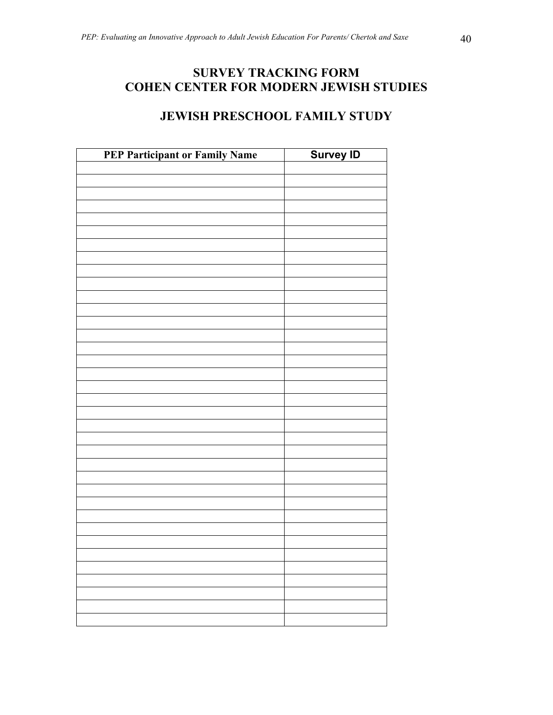# **SURVEY TRACKING FORM COHEN CENTER FOR MODERN JEWISH STUDIES**

# **JEWISH PRESCHOOL FAMILY STUDY**

| PEP Participant or Family Name | <b>Survey ID</b> |
|--------------------------------|------------------|
|                                |                  |
|                                |                  |
|                                |                  |
|                                |                  |
|                                |                  |
|                                |                  |
|                                |                  |
|                                |                  |
|                                |                  |
|                                |                  |
|                                |                  |
|                                |                  |
|                                |                  |
|                                |                  |
|                                |                  |
|                                |                  |
|                                |                  |
|                                |                  |
|                                |                  |
|                                |                  |
|                                |                  |
|                                |                  |
|                                |                  |
|                                |                  |
|                                |                  |
|                                |                  |
|                                |                  |
|                                |                  |
|                                |                  |
|                                |                  |
|                                |                  |
|                                |                  |
|                                |                  |
|                                |                  |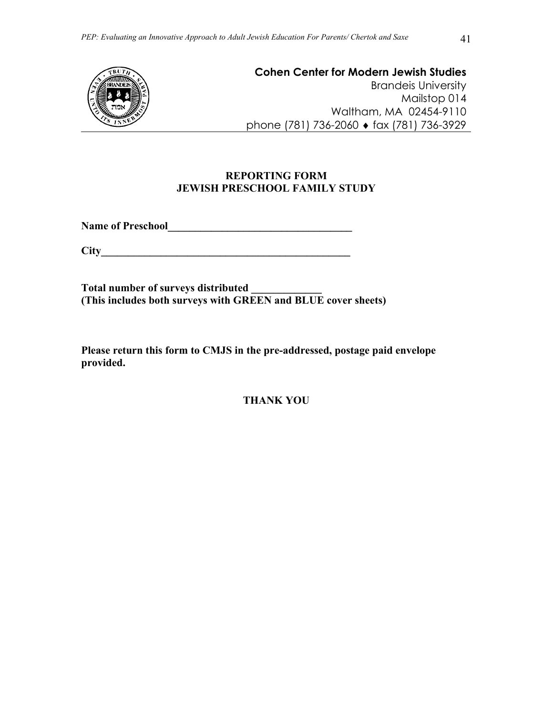

**Cohen Center for Modern Jewish Studies**  Brandeis University Mailstop 014 Waltham, MA 02454-9110 phone (781) 736-2060 ♦ fax (781) 736-3929

# **REPORTING FORM JEWISH PRESCHOOL FAMILY STUDY**

**Name of Preschool\_\_\_\_\_\_\_\_\_\_\_\_\_\_\_\_\_\_\_\_\_\_\_\_\_\_\_\_\_\_\_\_\_\_** 

**City\_\_\_\_\_\_\_\_\_\_\_\_\_\_\_\_\_\_\_\_\_\_\_\_\_\_\_\_\_\_\_\_\_\_\_\_\_\_\_\_\_\_\_\_\_\_** 

**Total number of surveys distributed \_\_\_\_\_\_\_\_\_\_\_\_\_ (This includes both surveys with GREEN and BLUE cover sheets)** 

**Please return this form to CMJS in the pre-addressed, postage paid envelope provided.** 

**THANK YOU**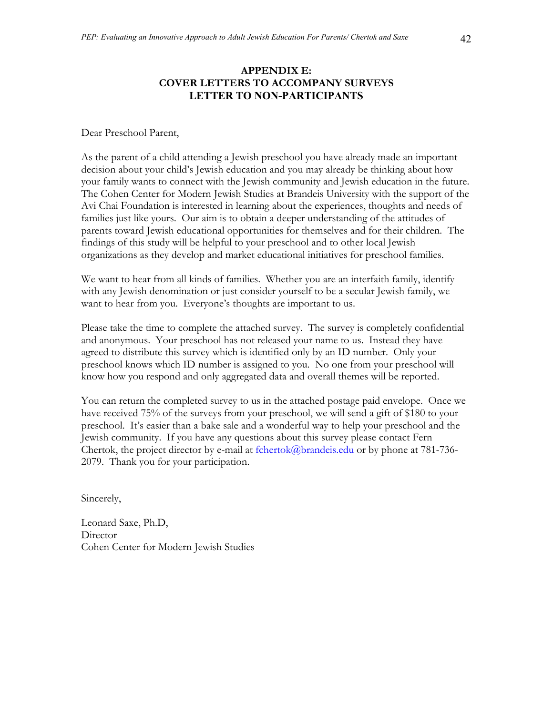# **APPENDIX E: COVER LETTERS TO ACCOMPANY SURVEYS LETTER TO NON-PARTICIPANTS**

Dear Preschool Parent,

As the parent of a child attending a Jewish preschool you have already made an important decision about your child's Jewish education and you may already be thinking about how your family wants to connect with the Jewish community and Jewish education in the future. The Cohen Center for Modern Jewish Studies at Brandeis University with the support of the Avi Chai Foundation is interested in learning about the experiences, thoughts and needs of families just like yours. Our aim is to obtain a deeper understanding of the attitudes of parents toward Jewish educational opportunities for themselves and for their children. The findings of this study will be helpful to your preschool and to other local Jewish organizations as they develop and market educational initiatives for preschool families.

We want to hear from all kinds of families. Whether you are an interfaith family, identify with any Jewish denomination or just consider yourself to be a secular Jewish family, we want to hear from you. Everyone's thoughts are important to us.

Please take the time to complete the attached survey. The survey is completely confidential and anonymous. Your preschool has not released your name to us. Instead they have agreed to distribute this survey which is identified only by an ID number. Only your preschool knows which ID number is assigned to you. No one from your preschool will know how you respond and only aggregated data and overall themes will be reported.

You can return the completed survey to us in the attached postage paid envelope. Once we have received 75% of the surveys from your preschool, we will send a gift of \$180 to your preschool. It's easier than a bake sale and a wonderful way to help your preschool and the Jewish community. If you have any questions about this survey please contact Fern Chertok, the project director by e-mail at  $\frac{\text{fchertok}}{a\text{brandeis.edu}}$  or by phone at 781-736-2079. Thank you for your participation.

Sincerely,

Leonard Saxe, Ph.D, **Director** Cohen Center for Modern Jewish Studies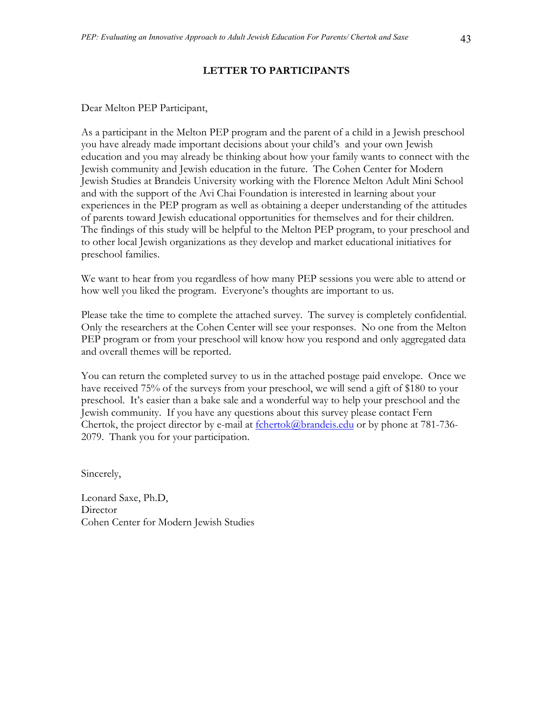#### **LETTER TO PARTICIPANTS**

Dear Melton PEP Participant,

As a participant in the Melton PEP program and the parent of a child in a Jewish preschool you have already made important decisions about your child's and your own Jewish education and you may already be thinking about how your family wants to connect with the Jewish community and Jewish education in the future. The Cohen Center for Modern Jewish Studies at Brandeis University working with the Florence Melton Adult Mini School and with the support of the Avi Chai Foundation is interested in learning about your experiences in the PEP program as well as obtaining a deeper understanding of the attitudes of parents toward Jewish educational opportunities for themselves and for their children. The findings of this study will be helpful to the Melton PEP program, to your preschool and to other local Jewish organizations as they develop and market educational initiatives for preschool families.

We want to hear from you regardless of how many PEP sessions you were able to attend or how well you liked the program. Everyone's thoughts are important to us.

Please take the time to complete the attached survey. The survey is completely confidential. Only the researchers at the Cohen Center will see your responses. No one from the Melton PEP program or from your preschool will know how you respond and only aggregated data and overall themes will be reported.

You can return the completed survey to us in the attached postage paid envelope. Once we have received 75% of the surveys from your preschool, we will send a gift of \$180 to your preschool. It's easier than a bake sale and a wonderful way to help your preschool and the Jewish community. If you have any questions about this survey please contact Fern Chertok, the project director by e-mail at  $\frac{\text{fchertok}}{a\text{brandeis.edu}}$  or by phone at 781-736-2079. Thank you for your participation.

Sincerely,

Leonard Saxe, Ph.D, Director Cohen Center for Modern Jewish Studies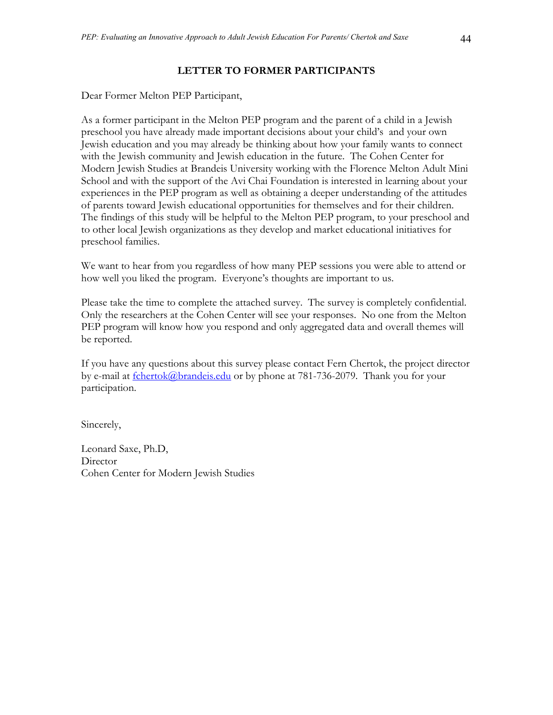### **LETTER TO FORMER PARTICIPANTS**

Dear Former Melton PEP Participant,

As a former participant in the Melton PEP program and the parent of a child in a Jewish preschool you have already made important decisions about your child's and your own Jewish education and you may already be thinking about how your family wants to connect with the Jewish community and Jewish education in the future. The Cohen Center for Modern Jewish Studies at Brandeis University working with the Florence Melton Adult Mini School and with the support of the Avi Chai Foundation is interested in learning about your experiences in the PEP program as well as obtaining a deeper understanding of the attitudes of parents toward Jewish educational opportunities for themselves and for their children. The findings of this study will be helpful to the Melton PEP program, to your preschool and to other local Jewish organizations as they develop and market educational initiatives for preschool families.

We want to hear from you regardless of how many PEP sessions you were able to attend or how well you liked the program. Everyone's thoughts are important to us.

Please take the time to complete the attached survey. The survey is completely confidential. Only the researchers at the Cohen Center will see your responses. No one from the Melton PEP program will know how you respond and only aggregated data and overall themes will be reported.

If you have any questions about this survey please contact Fern Chertok, the project director by e-mail at fchertok@brandeis.edu or by phone at 781-736-2079. Thank you for your participation.

Sincerely,

Leonard Saxe, Ph.D, **Director** Cohen Center for Modern Jewish Studies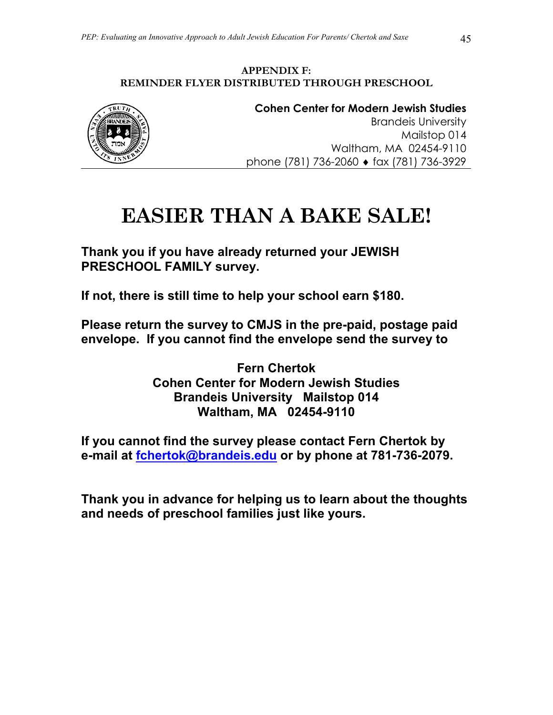# **APPENDIX F: REMINDER FLYER DISTRIBUTED THROUGH PRESCHOOL**



**Cohen Center for Modern Jewish Studies**  Brandeis University Mailstop 014 Waltham, MA 02454-9110 phone (781) 736-2060 ♦ fax (781) 736-3929

# **EASIER THAN A BAKE SALE!**

**Thank you if you have already returned your JEWISH PRESCHOOL FAMILY survey.** 

**If not, there is still time to help your school earn \$180.** 

**Please return the survey to CMJS in the pre-paid, postage paid envelope. If you cannot find the envelope send the survey to** 

> **Fern Chertok Cohen Center for Modern Jewish Studies Brandeis University Mailstop 014 Waltham, MA 02454-9110**

**If you cannot find the survey please contact Fern Chertok by e-mail at fchertok@brandeis.edu or by phone at 781-736-2079.** 

**Thank you in advance for helping us to learn about the thoughts and needs of preschool families just like yours.**